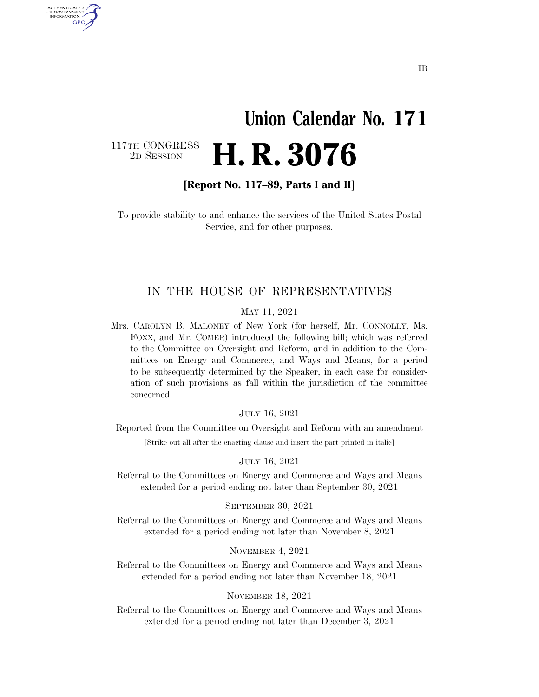# **Union Calendar No. 171**  2D SESSION **H. R. 3076**

117TH CONGRESS<br>2D SESSION

U.S. GOVERNMENT GPO

**[Report No. 117–89, Parts I and II]** 

To provide stability to and enhance the services of the United States Postal Service, and for other purposes.

#### IN THE HOUSE OF REPRESENTATIVES

#### MAY 11, 2021

Mrs. CAROLYN B. MALONEY of New York (for herself, Mr. CONNOLLY, Ms. FOXX, and Mr. COMER) introduced the following bill; which was referred to the Committee on Oversight and Reform, and in addition to the Committees on Energy and Commerce, and Ways and Means, for a period to be subsequently determined by the Speaker, in each case for consideration of such provisions as fall within the jurisdiction of the committee concerned

#### JULY 16, 2021

Reported from the Committee on Oversight and Reform with an amendment

[Strike out all after the enacting clause and insert the part printed in italic]

#### JULY 16, 2021

Referral to the Committees on Energy and Commerce and Ways and Means extended for a period ending not later than September 30, 2021

#### SEPTEMBER 30, 2021

Referral to the Committees on Energy and Commerce and Ways and Means extended for a period ending not later than November 8, 2021

#### NOVEMBER 4, 2021

Referral to the Committees on Energy and Commerce and Ways and Means extended for a period ending not later than November 18, 2021

#### NOVEMBER 18, 2021

Referral to the Committees on Energy and Commerce and Ways and Means extended for a period ending not later than December 3, 2021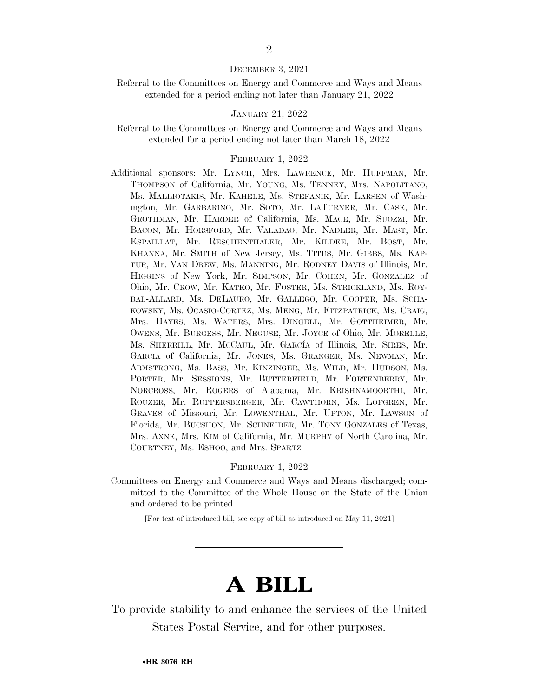#### DECEMBER 3, 2021

#### Referral to the Committees on Energy and Commerce and Ways and Means extended for a period ending not later than January 21, 2022

#### JANUARY 21, 2022

#### Referral to the Committees on Energy and Commerce and Ways and Means extended for a period ending not later than March 18, 2022

#### FEBRUARY 1, 2022

Additional sponsors: Mr. LYNCH, Mrs. LAWRENCE, Mr. HUFFMAN, Mr. THOMPSON of California, Mr. YOUNG, Ms. TENNEY, Mrs. NAPOLITANO, Ms. MALLIOTAKIS, Mr. KAHELE, Ms. STEFANIK, Mr. LARSEN of Washington, Mr. GARBARINO, Mr. SOTO, Mr. LATURNER, Mr. CASE, Mr. GROTHMAN, Mr. HARDER of California, Ms. MACE, Mr. SUOZZI, Mr. BACON, Mr. HORSFORD, Mr. VALADAO, Mr. NADLER, Mr. MAST, Mr. ESPAILLAT, Mr. RESCHENTHALER, Mr. KILDEE, Mr. BOST, Mr. KHANNA, Mr. SMITH of New Jersey, Ms. TITUS, Mr. GIBBS, Ms. KAP-TUR, Mr. VAN DREW, Ms. MANNING, Mr. RODNEY DAVIS of Illinois, Mr. HIGGINS of New York, Mr. SIMPSON, Mr. COHEN, Mr. GONZALEZ of Ohio, Mr. CROW, Mr. KATKO, Mr. FOSTER, Ms. STRICKLAND, Ms. ROY-BAL-ALLARD, Ms. DELAURO, Mr. GALLEGO, Mr. COOPER, Ms. SCHA-KOWSKY, Ms. OCASIO-CORTEZ, Ms. MENG, Mr. FITZPATRICK, Ms. CRAIG, Mrs. HAYES, Ms. WATERS, Mrs. DINGELL, Mr. GOTTHEIMER, Mr. OWENS, Mr. BURGESS, Mr. NEGUSE, Mr. JOYCE of Ohio, Mr. MORELLE, Ms. SHERRILL, Mr. McCAUL, Mr. GARCÍA of Illinois, Mr. SIRES, Mr. GARCIA of California, Mr. JONES, Ms. GRANGER, Ms. NEWMAN, Mr. ARMSTRONG, Ms. BASS, Mr. KINZINGER, Ms. WILD, Mr. HUDSON, Ms. PORTER, Mr. SESSIONS, Mr. BUTTERFIELD, Mr. FORTENBERRY, Mr. NORCROSS, Mr. ROGERS of Alabama, Mr. KRISHNAMOORTHI, Mr. ROUZER, Mr. RUPPERSBERGER, Mr. CAWTHORN, Ms. LOFGREN, Mr. GRAVES of Missouri, Mr. LOWENTHAL, Mr. UPTON, Mr. LAWSON of Florida, Mr. BUCSHON, Mr. SCHNEIDER, Mr. TONY GONZALES of Texas, Mrs. AXNE, Mrs. KIM of California, Mr. MURPHY of North Carolina, Mr. COURTNEY, Ms. ESHOO, and Mrs. SPARTZ

#### FEBRUARY 1, 2022

Committees on Energy and Commerce and Ways and Means discharged; committed to the Committee of the Whole House on the State of the Union and ordered to be printed

[For text of introduced bill, see copy of bill as introduced on May 11, 2021]

## **A BILL**

To provide stability to and enhance the services of the United States Postal Service, and for other purposes.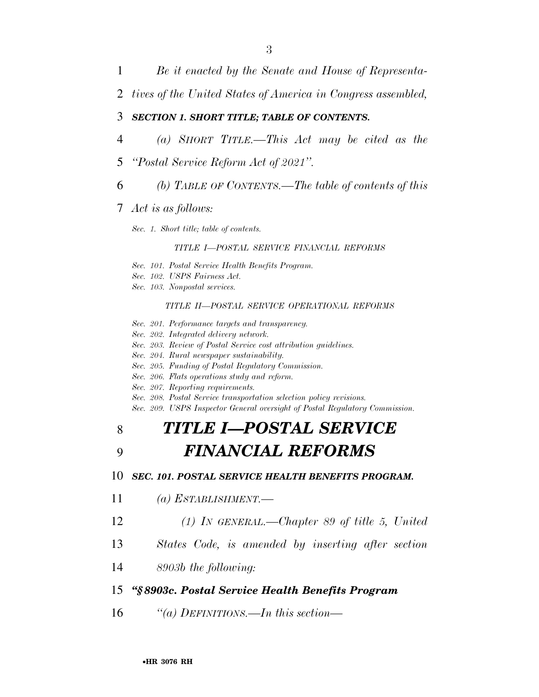1 *Be it enacted by the Senate and House of Representa-*

2 *tives of the United States of America in Congress assembled,* 

#### 3 *SECTION 1. SHORT TITLE; TABLE OF CONTENTS.*

- 4 *(a) SHORT TITLE.—This Act may be cited as the*
- 5 *''Postal Service Reform Act of 2021''.*
- 6 *(b) TABLE OF CONTENTS.—The table of contents of this*
- 7 *Act is as follows:*

*Sec. 1. Short title; table of contents.* 

#### *TITLE I—POSTAL SERVICE FINANCIAL REFORMS*

- *Sec. 101. Postal Service Health Benefits Program.*
- *Sec. 102. USPS Fairness Act.*
- *Sec. 103. Nonpostal services.*

#### *TITLE II—POSTAL SERVICE OPERATIONAL REFORMS*

- *Sec. 201. Performance targets and transparency.*
- *Sec. 202. Integrated delivery network.*
- *Sec. 203. Review of Postal Service cost attribution guidelines.*
- *Sec. 204. Rural newspaper sustainability.*
- *Sec. 205. Funding of Postal Regulatory Commission.*
- *Sec. 206. Flats operations study and reform.*
- *Sec. 207. Reporting requirements.*
- *Sec. 208. Postal Service transportation selection policy revisions.*
- *Sec. 209. USPS Inspector General oversight of Postal Regulatory Commission.*

## 8 *TITLE I—POSTAL SERVICE*

## 9 *FINANCIAL REFORMS*

#### 10 *SEC. 101. POSTAL SERVICE HEALTH BENEFITS PROGRAM.*

- 11 *(a) ESTABLISHMENT.—*
- 12 *(1) IN GENERAL.—Chapter 89 of title 5, United*
- 13 *States Code, is amended by inserting after section*
- 14 *8903b the following:*

#### 15 *''§ 8903c. Postal Service Health Benefits Program*

16 *''(a) DEFINITIONS.—In this section—*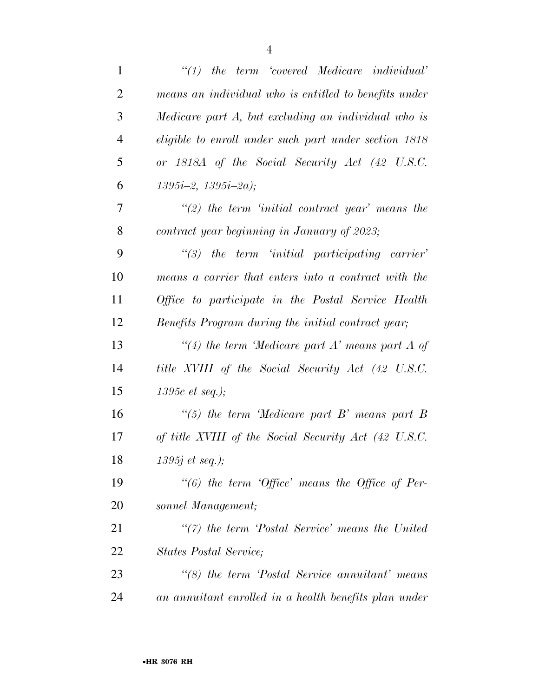| $\mathbf{1}$   | $\lq (1)$ the term 'covered Medicare individual'             |
|----------------|--------------------------------------------------------------|
| $\overline{2}$ | means an individual who is entitled to benefits under        |
| 3              | Medicare part A, but excluding an individual who is          |
| $\overline{4}$ | <i>eligible to enroll under such part under section 1818</i> |
| 5              | or 1818A of the Social Security Act (42 U.S.C.               |
| 6              | $1395i-2, 1395i-2a);$                                        |
| 7              | $\lq(2)$ the term 'initial contract year' means the          |
| 8              | contract year beginning in January of 2023;                  |
| 9              | $\lq(3)$ the term 'initial participating carrier'            |
| 10             | means a carrier that enters into a contract with the         |
| 11             | Office to participate in the Postal Service Health           |
| 12             | Benefits Program during the initial contract year;           |
| 13             | "(4) the term 'Medicare part A' means part A of              |
| 14             | title XVIII of the Social Security Act (42 U.S.C.            |
| 15             | 1395 $c$ et seq.);                                           |
| 16             | "(5) the term 'Medicare part $B$ ' means part $B$            |
| 17             | of title XVIII of the Social Security Act (42 U.S.C.         |
| 18             | 1395 $j$ et seq.);                                           |
| 19             | "(6) the term 'Office' means the Office of Per-              |
| 20             | sonnel Management;                                           |
| 21             | $\lq(7)$ the term 'Postal Service' means the United          |
| 22             | <i>States Postal Service:</i>                                |
| 23             | $\lq(8)$ the term 'Postal Service annuitant' means           |
| 24             | an annuitant enrolled in a health benefits plan under        |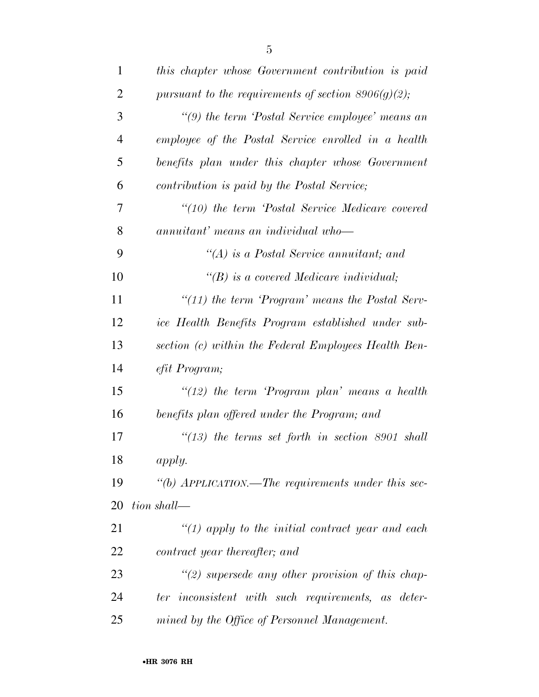| $\mathbf{1}$   | this chapter whose Government contribution is paid     |
|----------------|--------------------------------------------------------|
| $\overline{2}$ | pursuant to the requirements of section $8906(g)(2)$ ; |
| 3              | "(9) the term 'Postal Service employee' means an       |
| $\overline{4}$ | employee of the Postal Service enrolled in a health    |
| 5              | benefits plan under this chapter whose Government      |
| 6              | contribution is paid by the Postal Service;            |
| 7              | "(10) the term 'Postal Service Medicare covered        |
| 8              | annuitant' means an individual who-                    |
| 9              | "(A) is a Postal Service annuitant; and                |
| 10             | $\lq\lq(B)$ is a covered Medicare individual;          |
| 11             | " $(11)$ the term 'Program' means the Postal Serv-     |
| 12             | ice Health Benefits Program established under sub-     |
| 13             | section (c) within the Federal Employees Health Ben-   |
| 14             | efit Program;                                          |
| 15             | " $(12)$ the term 'Program plan' means a health        |
| 16             | benefits plan offered under the Program; and           |
| 17             | $\lq(13)$ the terms set forth in section 8901 shall    |
| 18             | apply.                                                 |
| 19             | "(b) APPLICATION.—The requirements under this sec-     |
| 20             | tion shall—                                            |
| 21             | "(1) apply to the initial contract year and each       |
| 22             | contract year thereafter; and                          |
| 23             | $\lq(2)$ supersede any other provision of this chap-   |
| 24             | ter inconsistent with such requirements, as deter-     |
| 25             | mined by the Office of Personnel Management.           |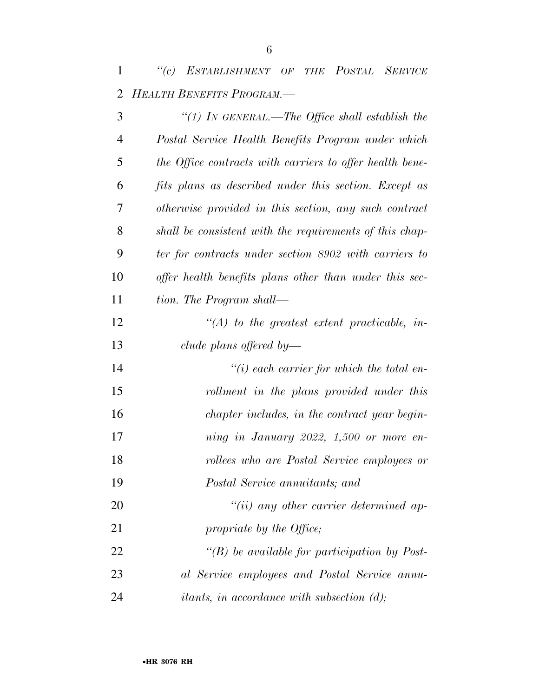*''(c) ESTABLISHMENT OF THE POSTAL SERVICE HEALTH BENEFITS PROGRAM.—* 

| 3              | "(1) IN GENERAL.—The Office shall establish the                |
|----------------|----------------------------------------------------------------|
| $\overline{4}$ | Postal Service Health Benefits Program under which             |
| 5              | the Office contracts with carriers to offer health bene-       |
| 6              | fits plans as described under this section. Except as          |
| 7              | otherwise provided in this section, any such contract          |
| 8              | shall be consistent with the requirements of this chap-        |
| 9              | ter for contracts under section 8902 with carriers to          |
| 10             | offer health benefits plans other than under this sec-         |
| 11             | tion. The Program shall—                                       |
| 12             | $\lq (A)$ to the greatest extent practicable, in-              |
| 13             | clude plans offered by—                                        |
| 14             | $\lq\lq(i)$ each carrier for which the total en-               |
| 15             | rollment in the plans provided under this                      |
| 16             | chapter includes, in the contract year begin-                  |
| 17             | ning in January 2022, 1,500 or more en-                        |
| 18             | rollees who are Postal Service employees or                    |
| 19             | Postal Service annuitants; and                                 |
| 20             | $``(ii)$ any other carrier determined ap-                      |
| 21             | propriate by the Office;                                       |
| 22             | "(B) be available for participation by Post-                   |
| 23             | al Service employees and Postal Service annu-                  |
| 24             | <i>itants, in accordance with subsection <math>(d)</math>;</i> |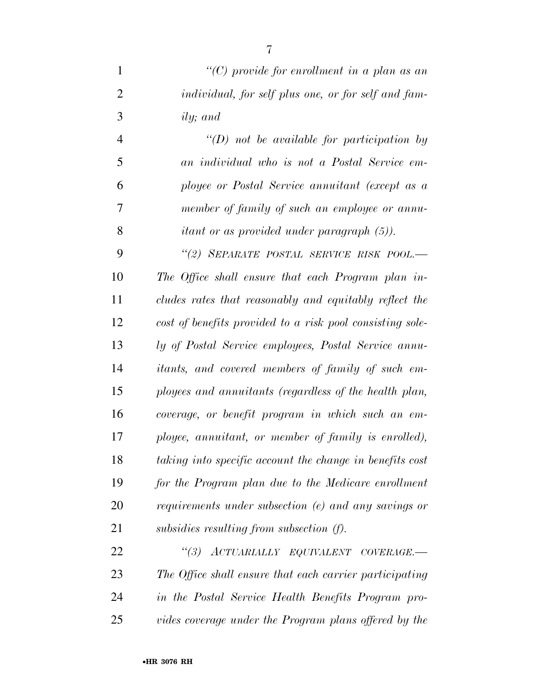*''(C) provide for enrollment in a plan as an individual, for self plus one, or for self and fam-ily; and* 

 *''(D) not be available for participation by an individual who is not a Postal Service em- ployee or Postal Service annuitant (except as a member of family of such an employee or annu-itant or as provided under paragraph (5)).* 

 *''(2) SEPARATE POSTAL SERVICE RISK POOL.— The Office shall ensure that each Program plan in- cludes rates that reasonably and equitably reflect the cost of benefits provided to a risk pool consisting sole- ly of Postal Service employees, Postal Service annu- itants, and covered members of family of such em- ployees and annuitants (regardless of the health plan, coverage, or benefit program in which such an em- ployee, annuitant, or member of family is enrolled), taking into specific account the change in benefits cost for the Program plan due to the Medicare enrollment requirements under subsection (e) and any savings or subsidies resulting from subsection (f).* 

 *''(3) ACTUARIALLY EQUIVALENT COVERAGE.— The Office shall ensure that each carrier participating in the Postal Service Health Benefits Program pro-vides coverage under the Program plans offered by the*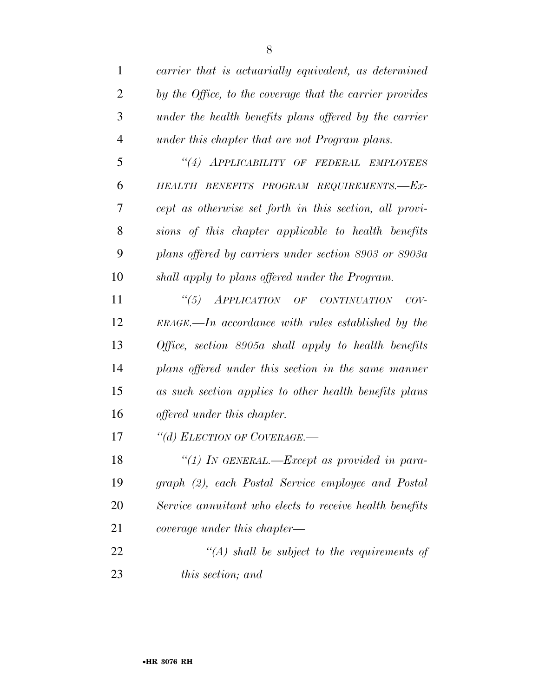| $\mathbf{1}$   | carrier that is actuarially equivalent, as determined    |
|----------------|----------------------------------------------------------|
| $\overline{2}$ | by the Office, to the coverage that the carrier provides |
| 3              | under the health benefits plans offered by the carrier   |
| $\overline{4}$ | under this chapter that are not Program plans.           |
| 5              | "(4) APPLICABILITY OF FEDERAL EMPLOYEES                  |
| 6              | HEALTH BENEFITS PROGRAM REQUIREMENTS.-Ex-                |
| 7              | cept as otherwise set forth in this section, all provi-  |
| 8              | sions of this chapter applicable to health benefits      |
| 9              | plans offered by carriers under section 8903 or 8903a    |
| 10             | shall apply to plans offered under the Program.          |
| 11             | "(5) APPLICATION OF CONTINUATION<br>$COV-$               |
| 12             | $ERAGE$ —In accordance with rules established by the     |
| 13             | Office, section $8905a$ shall apply to health benefits   |
| 14             | plans offered under this section in the same manner      |
| 15             | as such section applies to other health benefits plans   |
| 16             | <i>offered under this chapter.</i>                       |
| 17             | "(d) ELECTION OF COVERAGE.-                              |
| 18             | "(1) In GENERAL.—Except as provided in para-             |
| 19             | graph (2), each Postal Service employee and Postal       |
| 20             | Service annuitant who elects to receive health benefits  |
| 21             | <i>coverage under this chapter—</i>                      |
| 22             | $\lq (A)$ shall be subject to the requirements of        |
| 23             | <i>this section; and</i>                                 |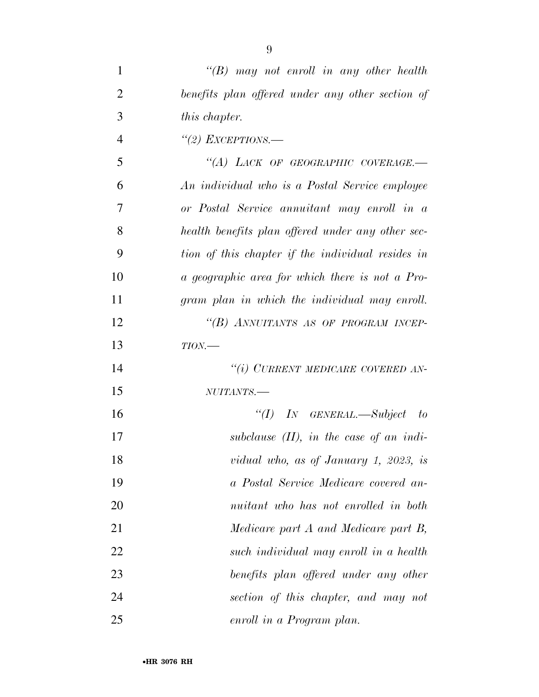| $\mathbf{1}$   | $\lq\lq B$ may not enroll in any other health     |
|----------------|---------------------------------------------------|
| $\overline{2}$ | benefits plan offered under any other section of  |
| 3              | this chapter.                                     |
| $\overline{4}$ | "(2) EXCEPTIONS.—                                 |
| 5              | "(A) LACK OF GEOGRAPHIC COVERAGE.-                |
| 6              | An individual who is a Postal Service employee    |
| 7              | or Postal Service annuitant may enroll in a       |
| 8              | health benefits plan offered under any other sec- |
| 9              | tion of this chapter if the individual resides in |
| 10             | a geographic area for which there is not a Pro-   |
| 11             | gram plan in which the individual may enroll.     |
| 12             | "(B) ANNUITANTS AS OF PROGRAM INCEP-              |
| 13             | $TION$ —                                          |
| 14             | "(i) CURRENT MEDICARE COVERED AN-                 |
| 15             | NUITANTS.-                                        |
| 16             | "(I) IN GENERAL.—Subject to                       |
| 17             | subclause $(II)$ , in the case of an indi-        |
| 18             | vidual who, as of January 1, 2023, is             |
| 19             | a Postal Service Medicare covered an-             |
| 20             | nuitant who has not enrolled in both              |
| 21             | Medicare part A and Medicare part B,              |
| 22             | such individual may enroll in a health            |
| 23             | benefits plan offered under any other             |
| 24             | section of this chapter, and may not              |
| 25             | enroll in a Program plan.                         |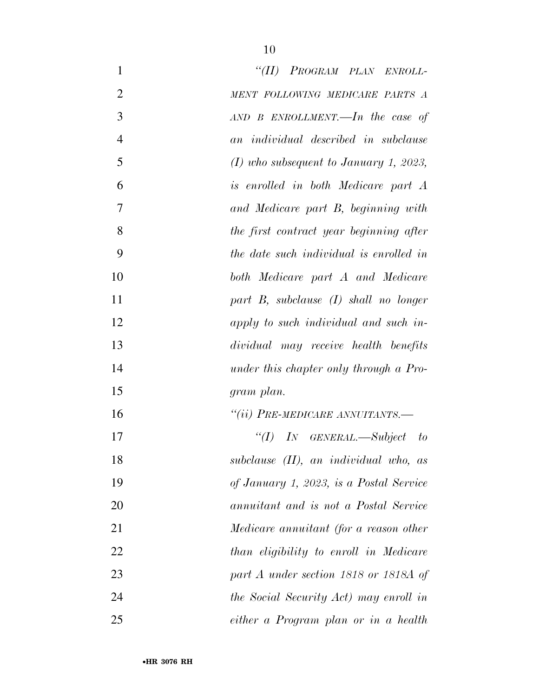| $\mathbf{1}$   | "(II) PROGRAM PLAN ENROLL-                 |
|----------------|--------------------------------------------|
| $\overline{2}$ | MENT FOLLOWING MEDICARE PARTS A            |
| 3              | $AND$ B ENROLLMENT.—In the case of         |
| $\overline{4}$ | an individual described in subclause       |
| 5              | $(I)$ who subsequent to January 1, 2023,   |
| 6              | is enrolled in both Medicare part A        |
| 7              | and Medicare part B, beginning with        |
| 8              | the first contract year beginning after    |
| 9              | the date such individual is enrolled in    |
| 10             | both Medicare part A and Medicare          |
| 11             | part $B$ , subclause $(I)$ shall no longer |
| 12             | apply to such individual and such in-      |
| 13             | dividual may receive health benefits       |
| 14             | under this chapter only through a Pro-     |
| 15             | gram plan.                                 |
| 16             | "(ii) PRE-MEDICARE ANNUITANTS.-            |
| 17             | "(I) IN GENERAL.—Subject to                |
| 18             | subclause (II), an individual who, as      |
| 19             | of January 1, 2023, is a Postal Service    |
| 20             | annuitant and is not a Postal Service      |
| 21             | Medicare annuitant (for a reason other     |
| 22             | than eligibility to enroll in Medicare     |
| 23             | part A under section 1818 or 1818A of      |
| 24             | the Social Security Act) may enroll in     |
| 25             | either a Program plan or in a health       |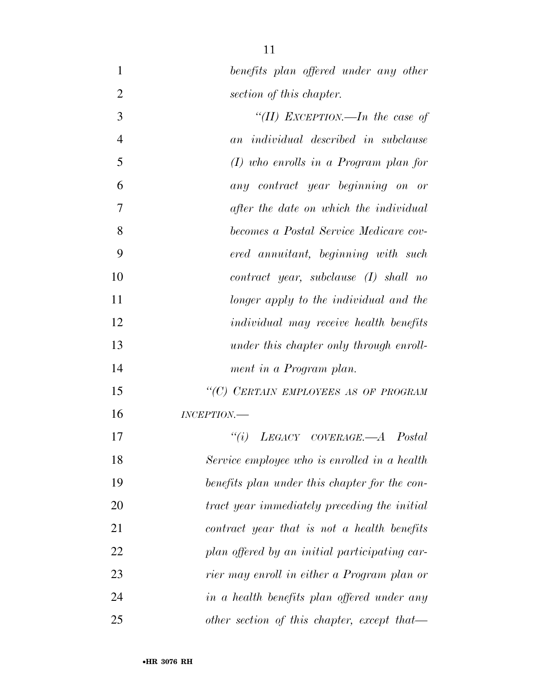*benefits plan offered under any other* 

| 2              | section of this chapter.                      |
|----------------|-----------------------------------------------|
| 3              | "(II) EXCEPTION.—In the case of               |
| $\overline{4}$ | an individual described in subclause          |
| 5              | $(I)$ who enrolls in a Program plan for       |
| 6              | any contract year beginning on or             |
| 7              | after the date on which the individual        |
| 8              | becomes a Postal Service Medicare cov-        |
| 9              | ered annuitant, beginning with such           |
| 10             | $contract\ year, \ subclause\ (I)\ shall\ no$ |
| 11             | longer apply to the individual and the        |
| 12             | <i>individual may receive health benefits</i> |
| 13             | under this chapter only through enroll-       |
| 14             | ment in a Program plan.                       |
| 15             | "(C) CERTAIN EMPLOYEES AS OF PROGRAM          |
| 16             | INCEPTION                                     |
| 17             | "(i) $LEGACY$ $COVERAGE. - A$ $Postal$        |
| 18             | Service employee who is enrolled in a health  |
| 19             | benefits plan under this chapter for the con- |
| 20             | tract year immediately preceding the initial  |
| 21             | contract year that is not a health benefits   |
| 22             | plan offered by an initial participating car- |
| 23             | rier may enroll in either a Program plan or   |
| 24             | in a health benefits plan offered under any   |
| 25             | other section of this chapter, except that—   |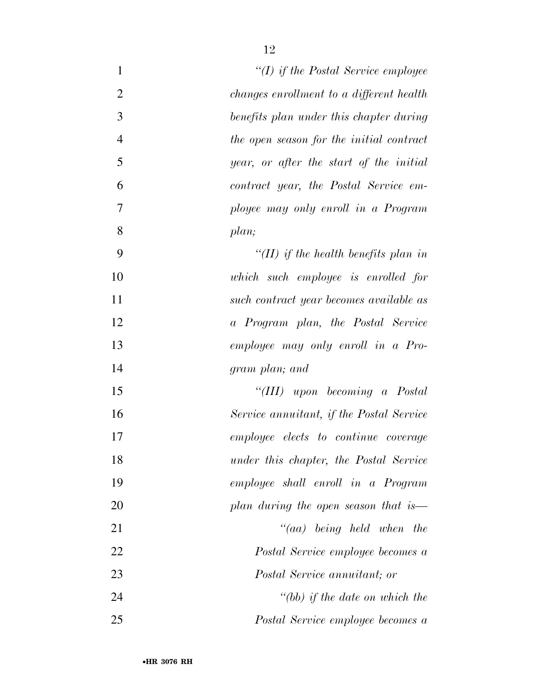| $\mathbf{1}$     | "(I) if the Postal Service employee         |
|------------------|---------------------------------------------|
| $\overline{2}$   | changes enrollment to a different health    |
| 3                | benefits plan under this chapter during     |
| $\overline{4}$   | the open season for the initial contract    |
| 5                | year, or after the start of the initial     |
| 6                | contract year, the Postal Service em-       |
| $\boldsymbol{7}$ | ployee may only enroll in a Program         |
| 8                | plan;                                       |
| 9                | "(II) if the health benefits plan in        |
| 10               | which such employee is enrolled for         |
| 11               | such contract year becomes available as     |
| 12               | a Program plan, the Postal Service          |
| 13               | employee may only enroll in a Pro-          |
| 14               | gram plan; and                              |
| 15               | "(III) upon becoming a Postal               |
| 16               | Service annuitant, if the Postal Service    |
| 17               | <i>employee elects to continue coverage</i> |
| 18               | under this chapter, the Postal Service      |
| 19               | employee shall enroll in a Program          |
| 20               | plan during the open season that is—        |
| 21               | $``(aa)$ being held when the                |
| 22               | Postal Service employee becomes a           |
| 23               | <i>Postal Service annuitant; or</i>         |
| 24               | $" (bb)$ if the date on which the           |
| 25               | Postal Service employee becomes a           |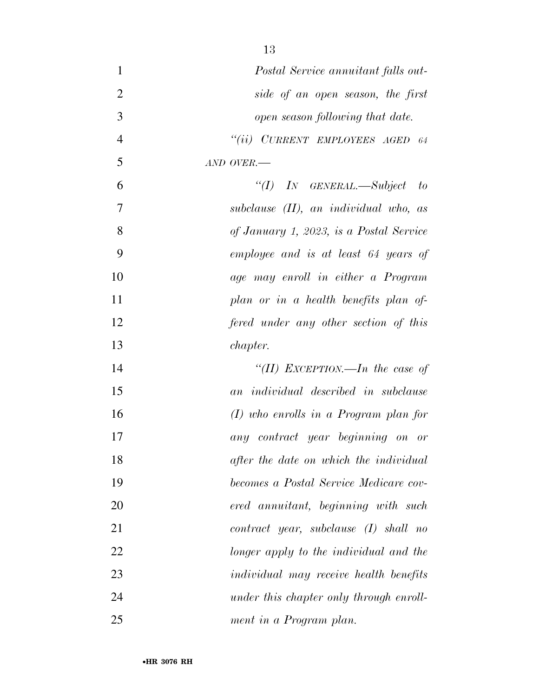| $\mathbf{1}$     | Postal Service annuitant falls out-           |
|------------------|-----------------------------------------------|
| $\overline{2}$   | side of an open season, the first             |
| 3                | open season following that date.              |
| $\overline{4}$   | "(ii) CURRENT EMPLOYEES AGED 64               |
| 5                | AND OVER.-                                    |
| 6                | "(I) IN GENERAL.—Subject to                   |
| $\boldsymbol{7}$ | subclause $(II)$ , an individual who, as      |
| 8                | of January 1, 2023, is a Postal Service       |
| 9                | employee and is at least 64 years of          |
| 10               | age may enroll in either a Program            |
| 11               | plan or in a health benefits plan of          |
| 12               | fered under any other section of this         |
| 13               | <i>chapter.</i>                               |
| 14               | "(II) EXCEPTION.—In the case of               |
| 15               | an individual described in subclause          |
| 16               | $(I)$ who enrolls in a Program plan for       |
| 17               | any contract year beginning on or             |
| 18               | after the date on which the individual        |
| 19               | becomes a Postal Service Medicare cov-        |
| 20               | ered annuitant, beginning with such           |
| 21               | $contract\ year, \ subclause\ (I)\ shall\ no$ |
| 22               | longer apply to the individual and the        |
| 23               | <i>individual may receive health benefits</i> |
| 24               | under this chapter only through enroll-       |
| 25               | ment in a Program plan.                       |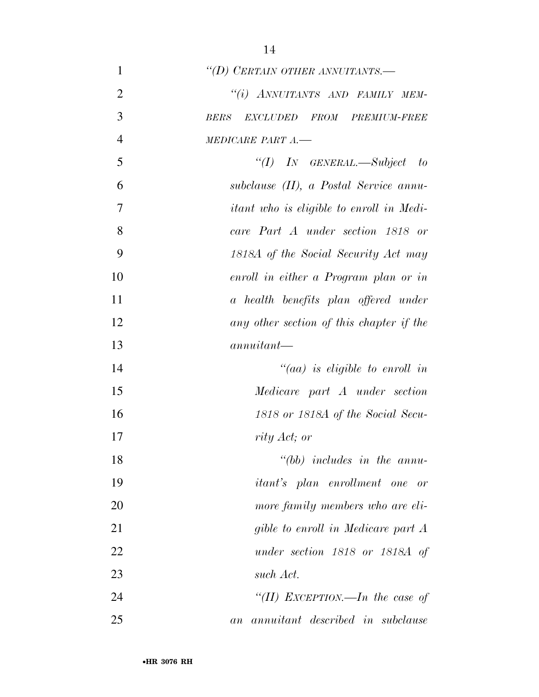| $\mathbf{1}$   | "(D) CERTAIN OTHER ANNUITANTS.-                 |
|----------------|-------------------------------------------------|
| $\overline{2}$ | "(i) ANNUITANTS AND FAMILY MEM-                 |
| 3              | <b>BERS</b><br>EXCLUDED FROM PREMIUM-FREE       |
| $\overline{4}$ | MEDICARE PART A.-                               |
| 5              | "(I) IN GENERAL.—Subject to                     |
| 6              | subclause (II), a Postal Service annu-          |
| $\overline{7}$ | <i>itant who is eligible to enroll in Medi-</i> |
| 8              | care Part A under section 1818 or               |
| 9              | 1818A of the Social Security Act may            |
| 10             | enroll in either a Program plan or in           |
| 11             | a health benefits plan offered under            |
| 12             | any other section of this chapter if the        |
| 13             | $annuitant-$                                    |
| 14             | "(aa) is eligible to enroll in                  |
| 15             | Medicare part A under section                   |
| 16             | 1818 or 1818A of the Social Secu-               |
| 17             | rity Act; or                                    |
| 18             | $" (bb)$ includes in the annu-                  |
| 19             | <i>itant's</i> plan enrollment one or           |
| 20             | more family members who are eli-                |
| 21             | gible to enroll in Medicare part A              |
| 22             | under section 1818 or 1818A of                  |
| 23             | such Act.                                       |
| 24             | "(II) EXCEPTION.—In the case of                 |
| 25             | annuitant described in subclause<br>a n         |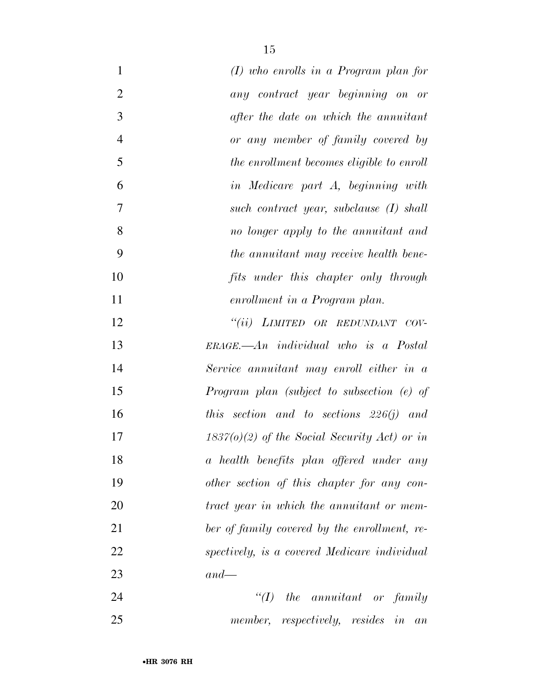| $\mathbf{1}$   | $(I)$ who enrolls in a Program plan for        |
|----------------|------------------------------------------------|
| $\overline{2}$ | any contract year beginning on or              |
| 3              | after the date on which the annuitant          |
| $\overline{4}$ | or any member of family covered by             |
| 5              | the enrollment becomes eligible to enroll      |
| 6              | in Medicare part A, beginning with             |
| $\overline{7}$ | such contract year, subclause $(I)$ shall      |
| 8              | no longer apply to the annuitant and           |
| 9              | the annuitant may receive health bene-         |
| 10             | fits under this chapter only through           |
| 11             | enrollment in a Program plan.                  |
| 12             | "(ii) LIMITED OR REDUNDANT COV-                |
| 13             | $ERAGE. - An individual who is a Postal$       |
| 14             | Service annuitant may enroll either in a       |
| 15             | Program plan (subject to subsection (e) of     |
| 16             | this section and to sections $226(j)$ and      |
| 17             | $1837(0)(2)$ of the Social Security Act) or in |
| 18             | a health benefits plan offered under any       |
| 19             | other section of this chapter for any con-     |
| 20             | tract year in which the annuitant or mem-      |
| 21             | ber of family covered by the enrollment, re-   |
| 22             | spectively, is a covered Medicare individual   |
| 23             | $and$ —                                        |
| 24             | $\lq (I)$<br>the annuitant or family           |
| 25             | member, respectively, resides in an            |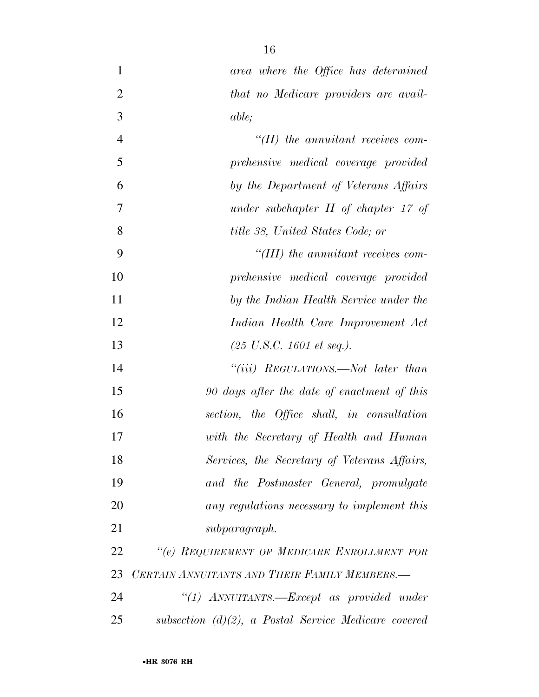| $\mathbf{1}$   | area where the Office has determined                       |
|----------------|------------------------------------------------------------|
| $\overline{2}$ | that no Medicare providers are avail-                      |
| 3              | <i>able</i> ;                                              |
| $\overline{4}$ | $H(H)$ the annuitant receives com-                         |
| 5              | prehensive medical coverage provided                       |
| 6              | by the Department of Veterans Affairs                      |
| $\overline{7}$ | under subchapter $II$ of chapter 17 of                     |
| 8              | title 38, United States Code; or                           |
| 9              | $``(III)$ the annuitant receives com-                      |
| 10             | prehensive medical coverage provided                       |
| 11             | by the Indian Health Service under the                     |
| 12             | Indian Health Care Improvement Act                         |
| 13             | $(25 \text{ U.S.C. } 1601 \text{ et seq.}).$               |
| 14             | "( <i>iii</i> ) ${\it REGULATIONS.}$ <i>Not later than</i> |
| 15             | 90 days after the date of enactment of this                |
| 16             | section, the Office shall, in consultation                 |
| 17             | with the Secretary of Health and Human                     |
| 18             | Services, the Secretary of Veterans Affairs,               |
| 19             | and the Postmaster General, promulgate                     |
| 20             | any regulations necessary to implement this                |
| 21             | subparagraph.                                              |
| 22             | "(e) REQUIREMENT OF MEDICARE ENROLLMENT FOR                |
| 23             | CERTAIN ANNUITANTS AND THEIR FAMILY MEMBERS.-              |
| 24             | "(1) ANNUITANTS.— $Except$ as provided under               |
| 25             | subsection $(d)(2)$ , a Postal Service Medicare covered    |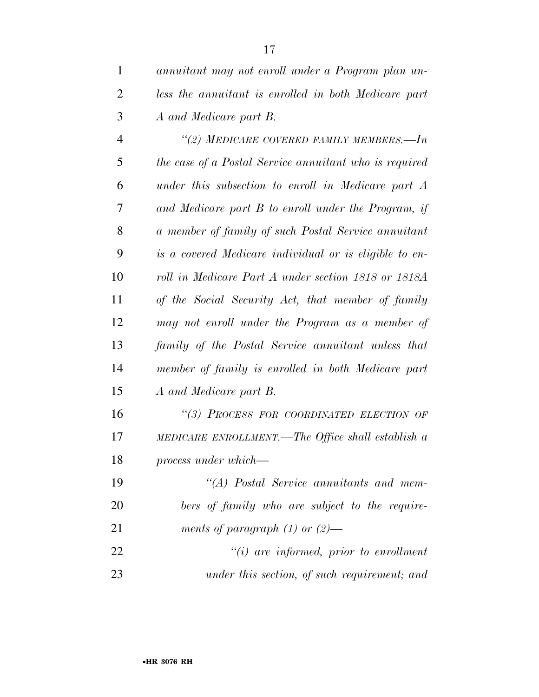| $\mathbf{1}$   | annuitant may not enroll under a Program plan un-      |
|----------------|--------------------------------------------------------|
| $\overline{2}$ | less the annuitant is enrolled in both Medicare part   |
| 3              | A and Medicare part B.                                 |
| $\overline{4}$ | "(2) MEDICARE COVERED FAMILY MEMBERS.-In               |
| 5              | the case of a Postal Service annuitant who is required |
| 6              | under this subsection to enroll in Medicare part A     |
| 7              | and Medicare part B to enroll under the Program, if    |
| 8              | a member of family of such Postal Service annuitant    |
| 9              | is a covered Medicare individual or is eligible to en- |
| 10             | roll in Medicare Part A under section 1818 or 1818A    |
| 11             | of the Social Security Act, that member of family      |
| 12             | may not enroll under the Program as a member of        |
| 13             | family of the Postal Service annuitant unless that     |
| 14             | member of family is enrolled in both Medicare part     |
| 15             | A and Medicare part B.                                 |
| 16             | "(3) PROCESS FOR COORDINATED ELECTION OF               |
| 17             | MEDICARE ENROLLMENT.—The Office shall establish a      |
| 18             | process under which—                                   |
| 19             | "(A) Postal Service annuitants and mem-                |
| 20             | bers of family who are subject to the require-         |
| 21             | ments of paragraph $(1)$ or $(2)$ —                    |
| 22             | $"(i)$ are informed, prior to enrollment               |
| 23             | under this section, of such requirement; and           |
|                |                                                        |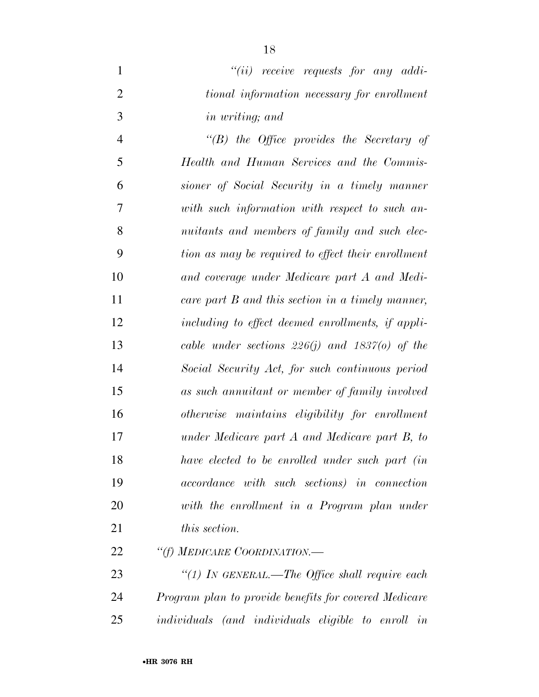*''(ii) receive requests for any addi- tional information necessary for enrollment in writing; and* 

 *''(B) the Office provides the Secretary of Health and Human Services and the Commis- sioner of Social Security in a timely manner with such information with respect to such an- nuitants and members of family and such elec- tion as may be required to effect their enrollment and coverage under Medicare part A and Medi- care part B and this section in a timely manner, including to effect deemed enrollments, if appli- cable under sections 226(j) and 1837(o) of the Social Security Act, for such continuous period as such annuitant or member of family involved otherwise maintains eligibility for enrollment under Medicare part A and Medicare part B, to have elected to be enrolled under such part (in accordance with such sections) in connection with the enrollment in a Program plan under this section.* 

*''(f) MEDICARE COORDINATION.—* 

 *''(1) IN GENERAL.—The Office shall require each Program plan to provide benefits for covered Medicare individuals (and individuals eligible to enroll in*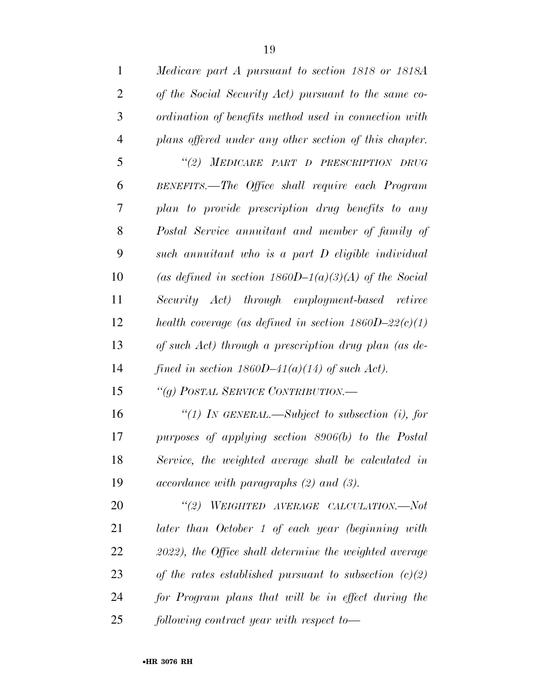| $\mathbf{1}$   | Medicare part A pursuant to section 1818 or 1818A        |
|----------------|----------------------------------------------------------|
| $\overline{2}$ | of the Social Security Act) pursuant to the same co-     |
| 3              | ordination of benefits method used in connection with    |
| $\overline{4}$ | plans offered under any other section of this chapter.   |
| 5              | "(2) MEDICARE PART D PRESCRIPTION DRUG                   |
| 6              | BENEFITS.—The Office shall require each Program          |
| 7              | plan to provide prescription drug benefits to any        |
| 8              | Postal Service annuitant and member of family of         |
| 9              | such annuitant who is a part D eligible individual       |
| 10             | (as defined in section $1860D-1(a)(3)(A)$ of the Social  |
| 11             | Security Act) through employment-based retiree           |
| 12             | health coverage (as defined in section $1860D-22(c)(1)$  |
| 13             | of such Act) through a prescription drug plan (as de-    |
| 14             | fined in section 1860D-41(a)(14) of such Act).           |
| 15             | "(g) POSTAL SERVICE CONTRIBUTION.—                       |
| 16             | "(1) IN GENERAL.—Subject to subsection (i), for          |
| 17             | purposes of applying section 8906(b) to the Postal       |
| 18             | Service, the weighted average shall be calculated in     |
| 19             | $accordance$ with paragraphs $(2)$ and $(3)$ .           |
| 20             | "(2) WEIGHTED AVERAGE CALCULATION.—Not                   |
| 21             | later than October 1 of each year (beginning with        |
| 22             | 2022), the Office shall determine the weighted average   |
| 23             | of the rates established pursuant to subsection $(c)(2)$ |
| 24             | for Program plans that will be in effect during the      |
| 25             | following contract year with respect to-                 |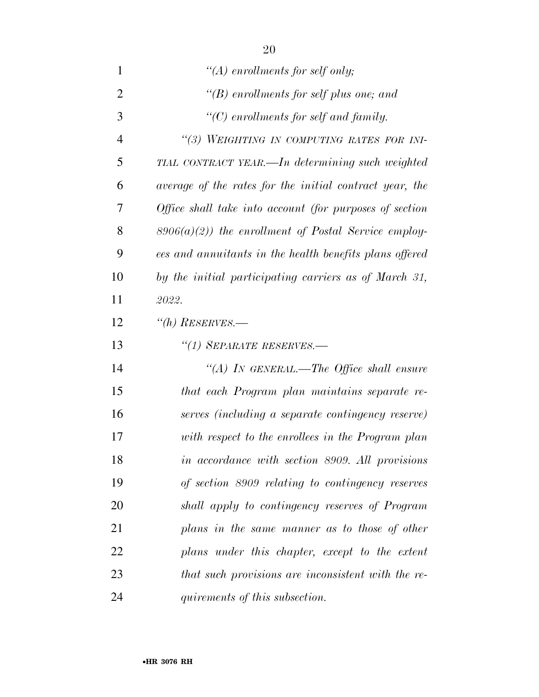| 1              | "(A) enrollments for self only;                         |
|----------------|---------------------------------------------------------|
| $\overline{2}$ | "(B) enrollments for self plus one; and                 |
| 3              | $\lq\lq C$ enrollments for self and family.             |
| $\overline{4}$ | "(3) WEIGHTING IN COMPUTING RATES FOR INI-              |
| 5              | TIAL CONTRACT YEAR.—In determining such weighted        |
| 6              | average of the rates for the initial contract year, the |
| 7              | Office shall take into account (for purposes of section |
| 8              | $8906(a)(2)$ ) the enrollment of Postal Service employ- |
| 9              | ees and annuitants in the health benefits plans offered |
| 10             | by the initial participating carriers as of March 31,   |
| 11             | 2022.                                                   |
| 12             | $\lq(n)$ RESERVES.—                                     |
|                |                                                         |
| 13             | "(1) SEPARATE RESERVES.—                                |
| 14             | "(A) IN GENERAL.—The Office shall ensure                |
| 15             | that each Program plan maintains separate re-           |
| 16             | serves (including a separate contingency reserve)       |
| 17             | with respect to the enrollees in the Program plan       |
| 18             | in accordance with section 8909. All provisions         |
| 19             | of section 8909 relating to contingency reserves        |
| 20             | shall apply to contingency reserves of Program          |
| 21             | plans in the same manner as to those of other           |
| 22             | plans under this chapter, except to the extent          |
| 23             | that such provisions are inconsistent with the re-      |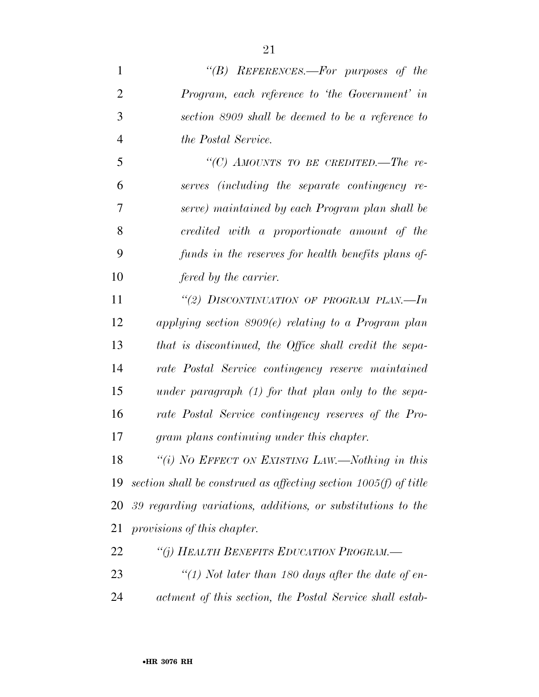*''(B) REFERENCES.—For purposes of the Program, each reference to 'the Government' in section 8909 shall be deemed to be a reference to the Postal Service. ''(C) AMOUNTS TO BE CREDITED.—The re- serves (including the separate contingency re- serve) maintained by each Program plan shall be credited with a proportionate amount of the funds in the reserves for health benefits plans of- fered by the carrier. ''(2) DISCONTINUATION OF PROGRAM PLAN.—In applying section 8909(e) relating to a Program plan that is discontinued, the Office shall credit the sepa- rate Postal Service contingency reserve maintained under paragraph (1) for that plan only to the sepa- rate Postal Service contingency reserves of the Pro- gram plans continuing under this chapter. ''(i) NO EFFECT ON EXISTING LAW.—Nothing in this* 

 *section shall be construed as affecting section 1005(f) of title 39 regarding variations, additions, or substitutions to the provisions of this chapter.* 

*''(j) HEALTH BENEFITS EDUCATION PROGRAM.—* 

 *''(1) Not later than 180 days after the date of en-actment of this section, the Postal Service shall estab-*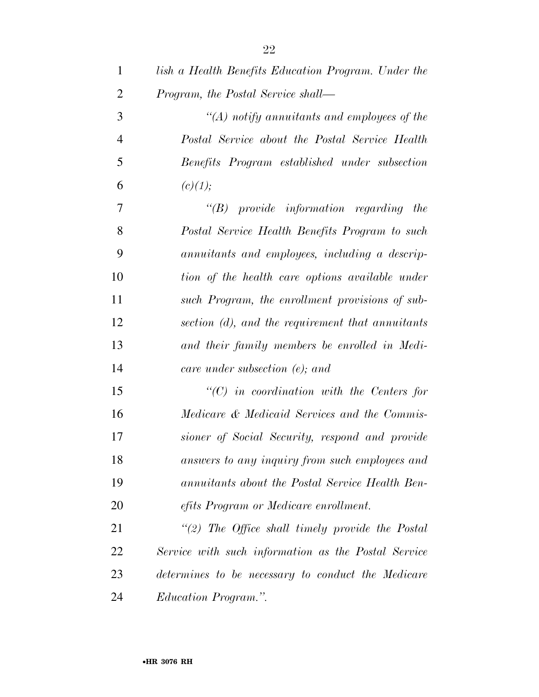| $\mathbf{1}$   | lish a Health Benefits Education Program. Under the |
|----------------|-----------------------------------------------------|
| $\overline{2}$ | Program, the Postal Service shall—                  |
| 3              | $\lq (A)$ notify annuitants and employees of the    |
| $\overline{4}$ | Postal Service about the Postal Service Health      |
| 5              | Benefits Program established under subsection       |
| 6              | (c)(1);                                             |
| 7              | $\lq\lq B$ provide information regarding the        |
| 8              | Postal Service Health Benefits Program to such      |
| 9              | annuitants and employees, including a descrip-      |
| 10             | tion of the health care options available under     |
| 11             | such Program, the enrollment provisions of sub-     |
| 12             | section (d), and the requirement that annuitants    |
| 13             | and their family members be enrolled in Medi-       |
| 14             | care under subsection $(e)$ ; and                   |
| 15             | $\lq\lq C$ in coordination with the Centers for     |
| 16             | Medicare & Medicaid Services and the Commis-        |
| 17             | sioner of Social Security, respond and provide      |
| 18             | answers to any inquiry from such employees and      |
| 19             | annuitants about the Postal Service Health Ben-     |
| 20             | efits Program or Medicare enrollment.               |
| 21             | "(2) The Office shall timely provide the Postal     |
| 22             | Service with such information as the Postal Service |
| 23             | determines to be necessary to conduct the Medicare  |
| 24             | Education Program.".                                |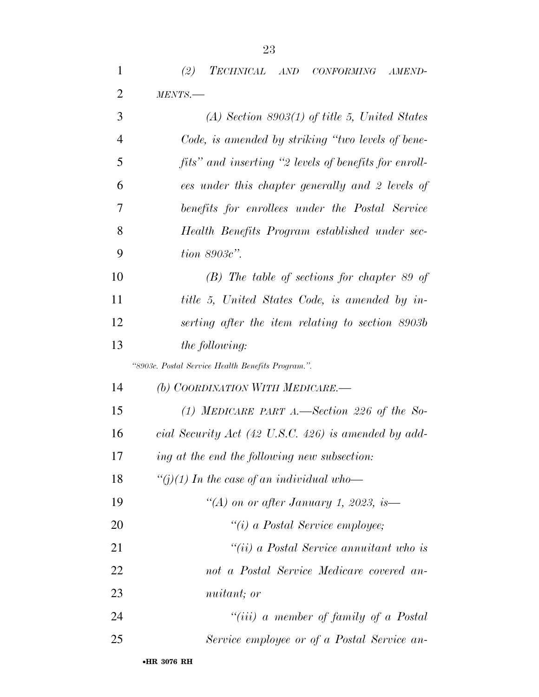*(2) TECHNICAL AND CONFORMING AMEND-*

| 2  | MENTS.                                                          |
|----|-----------------------------------------------------------------|
| 3  | $(A)$ Section 8903(1) of title 5, United States                 |
| 4  | Code, is amended by striking "two levels of bene-               |
| 5  | fits" and inserting "2 levels of benefits for enroll-           |
| 6  | ees under this chapter generally and 2 levels of                |
| 7  | benefits for enrollees under the Postal Service                 |
| 8  | Health Benefits Program established under sec-                  |
| 9  | $tion 8903c$ ".                                                 |
| 10 | $(B)$ The table of sections for chapter 89 of                   |
| 11 | title 5, United States Code, is amended by in-                  |
| 12 | serting after the item relating to section 8903b                |
| 13 | the following:                                                  |
|    | "8903c. Postal Service Health Benefits Program.".               |
|    |                                                                 |
| 14 | (b) COORDINATION WITH MEDICARE.-                                |
| 15 | (1) MEDICARE PART A.—Section 226 of the So-                     |
| 16 | cial Security Act $(42 \text{ U.S.C. } 426)$ is amended by add- |
| 17 | ing at the end the following new subsection:                    |
| 18 | "(j)(1) In the case of an individual who-                       |
| 19 | "(A) on or after January 1, 2023, is—                           |
| 20 | "(i) a Postal Service employee;                                 |
| 21 | "(ii) a Postal Service annuitant who is                         |
| 22 | not a Postal Service Medicare covered an-                       |
| 23 | nuitant; or                                                     |

- *Service employee or of a Postal Service an-*
	- •**HR 3076 RH**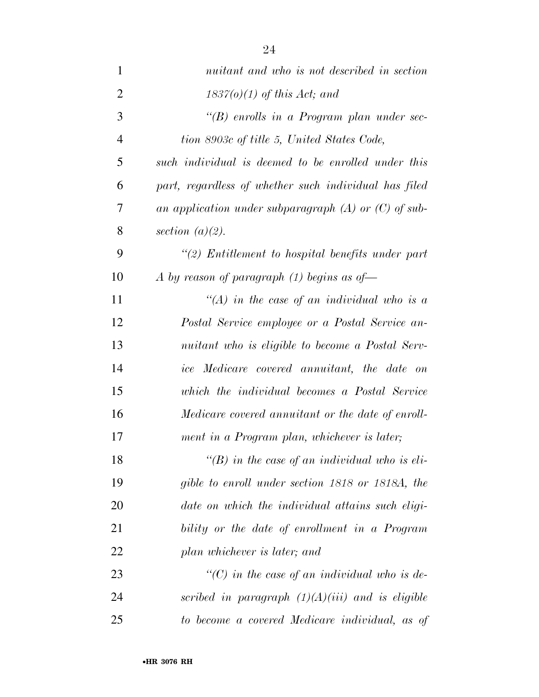| 1              | nuitant and who is not described in section              |
|----------------|----------------------------------------------------------|
| $\overline{2}$ | $1837(0)(1)$ of this Act; and                            |
| 3              | " $(B)$ enrolls in a Program plan under sec-             |
| $\overline{4}$ | tion 8903c of title 5, United States Code,               |
| 5              | such individual is deemed to be enrolled under this      |
| 6              | part, regardless of whether such individual has filed    |
| 7              | an application under subparagraph $(A)$ or $(C)$ of sub- |
| 8              | section $(a)(2)$ .                                       |
| 9              | $\lq(2)$ Entitlement to hospital benefits under part     |
| 10             | A by reason of paragraph $(1)$ begins as of-             |
| 11             | "(A) in the case of an individual who is a               |
| 12             | Postal Service employee or a Postal Service an-          |
| 13             | nuitant who is eligible to become a Postal Serv-         |
| 14             | ice Medicare covered annuitant, the date on              |
| 15             | which the individual becomes a Postal Service            |
| 16             | Medicare covered annuitant or the date of enroll-        |
| 17             | ment in a Program plan, whichever is later;              |
| 18             | "(B) in the case of an individual who is eli-            |
| 19             | gible to enroll under section 1818 or 1818A, the         |
| 20             | date on which the individual attains such eligi-         |
| 21             | bility or the date of enrollment in a Program            |
| 22             | plan whichever is later; and                             |
| 23             | "(C) in the case of an individual who is de-             |
| 24             | scribed in paragraph $(1)(A)(iii)$ and is eligible       |
| 25             | to become a covered Medicare individual, as of           |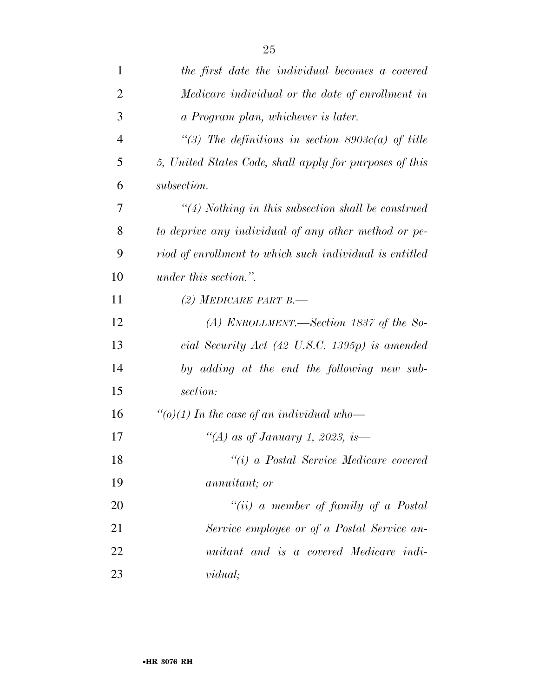| $\mathbf{1}$   | the first date the individual becomes a covered           |
|----------------|-----------------------------------------------------------|
| $\overline{2}$ | Medicare individual or the date of enrollment in          |
| 3              | a Program plan, whichever is later.                       |
| $\overline{4}$ | "(3) The definitions in section $8903c(a)$ of title       |
| 5              | 5, United States Code, shall apply for purposes of this   |
| 6              | subsection.                                               |
| 7              | $\lq(4)$ Nothing in this subsection shall be construed    |
| 8              | to deprive any individual of any other method or pe-      |
| 9              | riod of enrollment to which such individual is entitled   |
| 10             | under this section.".                                     |
| 11             | (2) MEDICARE PART B.                                      |
| 12             | (A) ENROLLMENT.—Section 1837 of the So-                   |
| 13             | cial Security Act $(42 \text{ U.S.C. } 1395p)$ is amended |
| 14             | by adding at the end the following new sub-               |
| 15             | section:                                                  |
| 16             | "(o)(1) In the case of an individual who-                 |
| 17             | "(A) as of January 1, 2023, is—                           |
| 18             | "(i) a Postal Service Medicare covered                    |
| 19             | annuitant; or                                             |
| 20             | "(ii) a member of family of a Postal                      |
| 21             | Service employee or of a Postal Service an-               |
| 22             | nuitant and is a covered Medicare indi-                   |
| 23             | vidual;                                                   |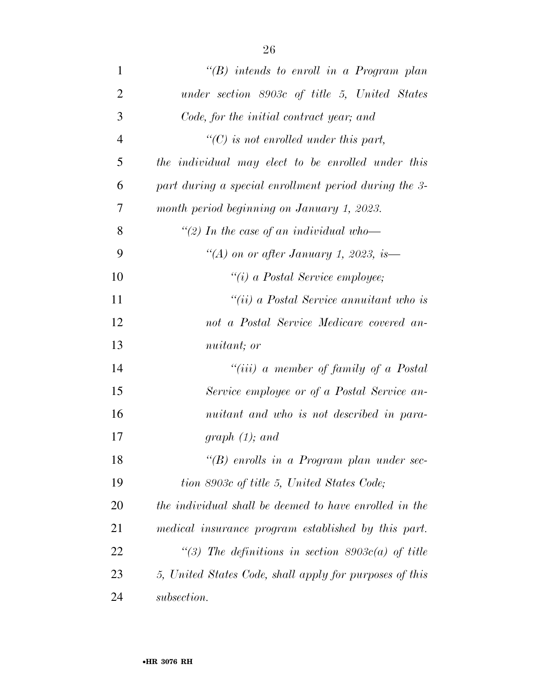| $\mathbf{1}$   | " $(B)$ intends to enroll in a Program plan             |
|----------------|---------------------------------------------------------|
| $\overline{2}$ | under section 8903c of title 5, United States           |
| 3              | Code, for the initial contract year; and                |
| $\overline{4}$ | $\lq\lq C$ is not enrolled under this part,             |
| 5              | the individual may elect to be enrolled under this      |
| 6              | part during a special enrollment period during the 3-   |
| 7              | month period beginning on January 1, 2023.              |
| 8              | "(2) In the case of an individual who-                  |
| 9              | "(A) on or after January 1, 2023, is—                   |
| 10             | $\lq\lq(i)$ a Postal Service employee;                  |
| 11             | "(ii) a Postal Service annuitant who is                 |
| 12             | not a Postal Service Medicare covered an-               |
| 13             | nuitant; or                                             |
| 14             | "(iii) a member of family of a Postal                   |
| 15             | Service employee or of a Postal Service an-             |
| 16             | nuitant and who is not described in para-               |
| 17             | graph $(1)$ ; and                                       |
| 18             | " $(B)$ enrolls in a Program plan under sec-            |
| 19             | tion 8903c of title 5, United States Code;              |
| 20             | the individual shall be deemed to have enrolled in the  |
| 21             | medical insurance program established by this part.     |
| 22             | "(3) The definitions in section 8903c(a) of title       |
| 23             | 5, United States Code, shall apply for purposes of this |
| 24             | subsection.                                             |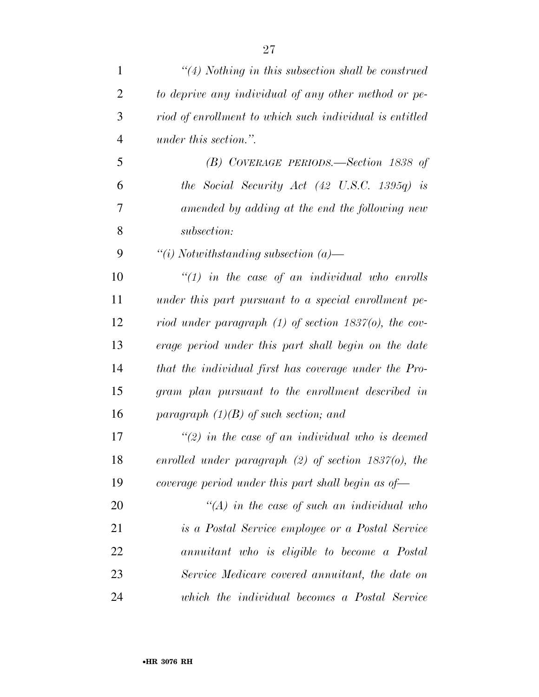| $\mathbf{1}$   | $\lq(4)$ Nothing in this subsection shall be construed      |
|----------------|-------------------------------------------------------------|
| $\overline{2}$ | to deprive any individual of any other method or pe-        |
| 3              | riod of enrollment to which such individual is entitled     |
| $\overline{4}$ | <i>under this section.</i> ".                               |
| 5              | (B) COVERAGE PERIODS.—Section 1838 of                       |
| 6              | the Social Security Act $(42 \text{ U.S.C. } 1395q)$ is     |
| 7              | amended by adding at the end the following new              |
| 8              | subsection:                                                 |
| 9              | "(i) Notwithstanding subsection $(a)$ —                     |
| 10             | $\lq(1)$ in the case of an individual who enrolls           |
| 11             | under this part pursuant to a special enrollment pe-        |
| 12             | riod under paragraph $(1)$ of section 1837 $(0)$ , the cov- |
| 13             | erage period under this part shall begin on the date        |
| 14             | that the individual first has coverage under the Pro-       |
| 15             | gram plan pursuant to the enrollment described in           |
| 16             | paragraph $(1)(B)$ of such section; and                     |
| 17             | $\lq(2)$ in the case of an individual who is deemed         |
| 18             | enrolled under paragraph $(2)$ of section 1837(o), the      |
| 19             | coverage period under this part shall begin as of-          |
| 20             | $\lq (A)$ in the case of such an individual who             |
| 21             | is a Postal Service employee or a Postal Service            |
| 22             | annuitant who is eligible to become a Postal                |
| 23             | Service Medicare covered annuitant, the date on             |
| 24             | which the individual becomes a Postal Service               |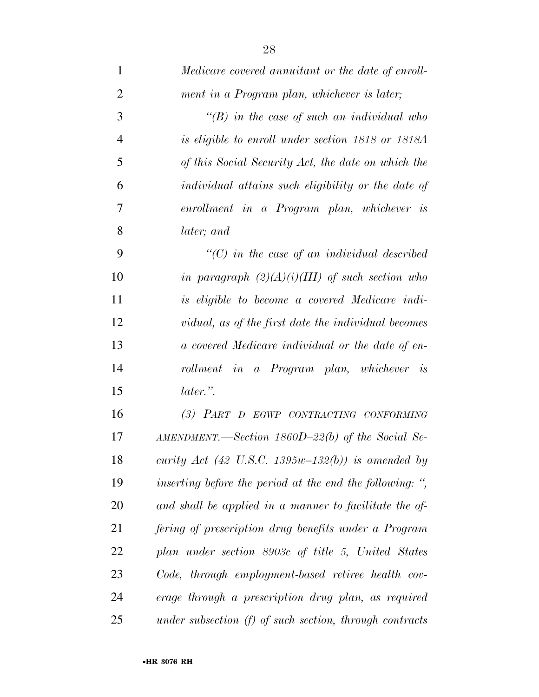| $\mathbf 1$    | Medicare covered annuitant or the date of enroll-          |
|----------------|------------------------------------------------------------|
| $\overline{2}$ | ment in a Program plan, whichever is later;                |
| 3              | $\lq (B)$ in the case of such an individual who            |
| $\overline{4}$ | is eligible to enroll under section 1818 or 1818A          |
| 5              | of this Social Security Act, the date on which the         |
| 6              | individual attains such eligibility or the date of         |
| 7              | enrollment in a Program plan, whichever is                 |
| 8              | later; and                                                 |
| 9              | $\lq$ (C) in the case of an individual described           |
| 10             | in paragraph $(2)(A)(i)(III)$ of such section who          |
| 11             | is eligible to become a covered Medicare indi-             |
| 12             | vidual, as of the first date the individual becomes        |
| 13             | a covered Medicare individual or the date of en-           |
| 14             | rollment in a Program plan, whichever is                   |
| 15             | later.".                                                   |
| 16             | (3) PART D EGWP CONTRACTING CONFORMING                     |
| 17             | $AMENDMENT. \text{—Section 1860D-22(b) of the Social Se-}$ |
| 18             | curity Act (42 U.S.C. 1395w-132(b)) is amended by          |
| 19             | inserting before the period at the end the following: ",   |
| 20             | and shall be applied in a manner to facilitate the of-     |
| 21             | fering of prescription drug benefits under a Program       |
| 22             | plan under section 8903c of title 5, United States         |
| 23             | Code, through employment-based retiree health cov-         |
| 24             | erage through a prescription drug plan, as required        |
| 25             | under subsection $(f)$ of such section, through contracts  |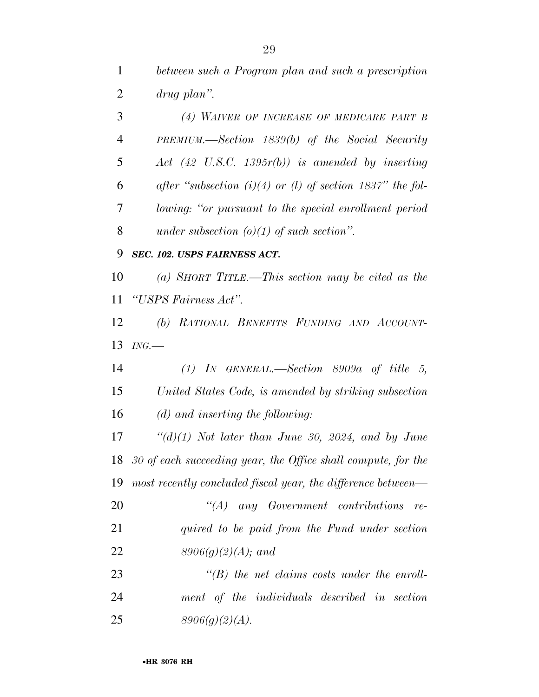*between such a Program plan and such a prescription drug plan''. (4) WAIVER OF INCREASE OF MEDICARE PART B PREMIUM.—Section 1839(b) of the Social Security Act (42 U.S.C. 1395r(b)) is amended by inserting after ''subsection (i)(4) or (l) of section 1837'' the fol- lowing: ''or pursuant to the special enrollment period under subsection (o)(1) of such section''. SEC. 102. USPS FAIRNESS ACT. (a) SHORT TITLE.—This section may be cited as the ''USPS Fairness Act''. (b) RATIONAL BENEFITS FUNDING AND ACCOUNT- ING.— (1) IN GENERAL.—Section 8909a of title 5, United States Code, is amended by striking subsection (d) and inserting the following:* 

 *''(d)(1) Not later than June 30, 2024, and by June 30 of each succeeding year, the Office shall compute, for the most recently concluded fiscal year, the difference between—* 

 *''(A) any Government contributions re- quired to be paid from the Fund under section 8906(g)(2)(A); and* 

 *''(B) the net claims costs under the enroll- ment of the individuals described in section 8906(g)(2)(A).*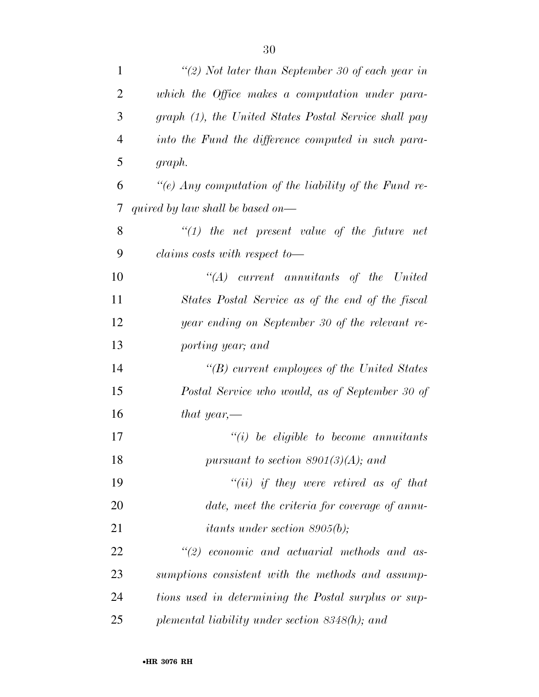| $\mathbf{1}$   | "(2) Not later than September 30 of each year in      |
|----------------|-------------------------------------------------------|
| $\overline{2}$ | which the Office makes a computation under para-      |
| 3              | graph (1), the United States Postal Service shall pay |
| $\overline{4}$ | into the Fund the difference computed in such para-   |
| 5              | graph.                                                |
| 6              | "(e) Any computation of the liability of the Fund re- |
| 7              | quired by law shall be based on—                      |
| 8              | $\lq(1)$ the net present value of the future net      |
| 9              | claims costs with respect to-                         |
| 10             | $\lq\lq (A)$ current annuitants of the United         |
| 11             | States Postal Service as of the end of the fiscal     |
| 12             | year ending on September 30 of the relevant re-       |
| 13             | porting year; and                                     |
| 14             | $\lq\lq(B)$ current employees of the United States    |
| 15             | Postal Service who would, as of September 30 of       |
| 16             | that year,—                                           |
| 17             | $``(i)$ be eligible to become annuitants              |
| 18             | pursuant to section $8901(3)(A)$ ; and                |
| 19             | "(ii) if they were retired as of that                 |
| 20             | date, meet the criteria for coverage of annu-         |
| 21             | <i>itants under section 8905(b)</i> ;                 |
| 22             | $\lq(2)$ economic and actuarial methods and as-       |
| 23             | sumptions consistent with the methods and assump-     |
| 24             | tions used in determining the Postal surplus or sup-  |
| 25             | plemental liability under section 8348(h); and        |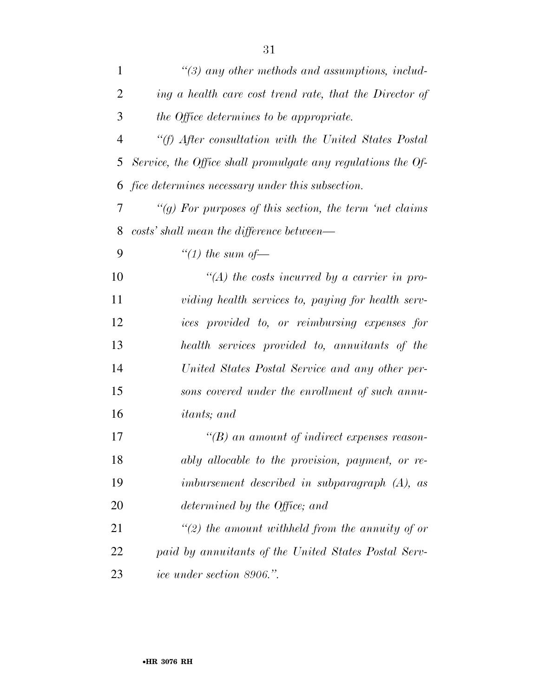| $\mathbf{1}$   | $\lq(3)$ any other methods and assumptions, includ-          |
|----------------|--------------------------------------------------------------|
| 2              | ing a health care cost trend rate, that the Director of      |
| 3              | the Office determines to be appropriate.                     |
| $\overline{4}$ | "(f) After consultation with the United States Postal        |
| 5              | Service, the Office shall promulgate any regulations the Of- |
| 6              | <i>fice determines necessary under this subsection.</i>      |
| 7              | "(g) For purposes of this section, the term 'net claims      |
| 8              | costs' shall mean the difference between—                    |
| 9              | "(1) the sum of $-$                                          |
| 10             | $\lq (A)$ the costs incurred by a carrier in pro-            |
| 11             | viding health services to, paying for health serv-           |
| 12             | ices provided to, or reimbursing expenses for                |
| 13             | health services provided to, annuitants of the               |
| 14             | United States Postal Service and any other per-              |
| 15             | sons covered under the enrollment of such annu-              |
| 16             | <i>itants</i> ; and                                          |
| 17             | $\lq\lq(B)$ an amount of indirect expenses reason-           |
| 18             | ably allocable to the provision, payment, or re-             |
| 19             | imbursement described in subparagraph (A), as                |
| 20             | determined by the Office; and                                |
| 21             | "(2) the amount withheld from the annuity of or              |
| 22             | paid by annuitants of the United States Postal Serv-         |
| 23             | <i>ice under section 8906.</i> ".                            |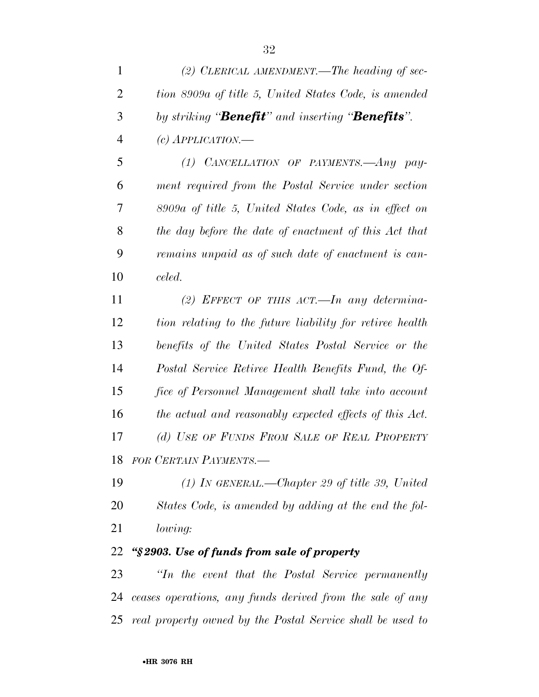| $\mathbf{1}$   | (2) CLERICAL AMENDMENT.—The heading of sec-                       |
|----------------|-------------------------------------------------------------------|
| $\overline{2}$ | tion 8909a of title 5, United States Code, is amended             |
| 3              | by striking " <b>Benefit</b> " and inserting " <b>Benefits</b> ". |
| $\overline{4}$ | $(c)$ APPLICATION.—                                               |
| 5              | (1) CANCELLATION OF PAYMENTS.—Any pay-                            |
| 6              | ment required from the Postal Service under section               |
| 7              | 8909a of title 5, United States Code, as in effect on             |
| 8              | the day before the date of enactment of this Act that             |
| 9              | remains unpaid as of such date of enactment is can-               |
| 10             | celed.                                                            |
| 11             | (2) EFFECT OF THIS ACT.—In any determina-                         |
| 12             | tion relating to the future liability for retiree health          |
| 13             | benefits of the United States Postal Service or the               |
| 14             | Postal Service Retiree Health Benefits Fund, the Of-              |
| 15             | fice of Personnel Management shall take into account              |
| 16             | the actual and reasonably expected effects of this Act.           |
| 17             | (d) USE OF FUNDS FROM SALE OF REAL PROPERTY                       |
|                | 18 FOR CERTAIN PAYMENTS.                                          |
| 19             | $(1)$ In GENERAL.—Chapter 29 of title 39, United                  |
| 20             | States Code, is amended by adding at the end the fol-             |
| 21             | lowing:                                                           |
| 22             | "§2903. Use of funds from sale of property                        |
| 23             | "In the event that the Postal Service permanently                 |
| 24             | ceases operations, any funds derived from the sale of any         |
|                | 25 real property owned by the Postal Service shall be used to     |
|                |                                                                   |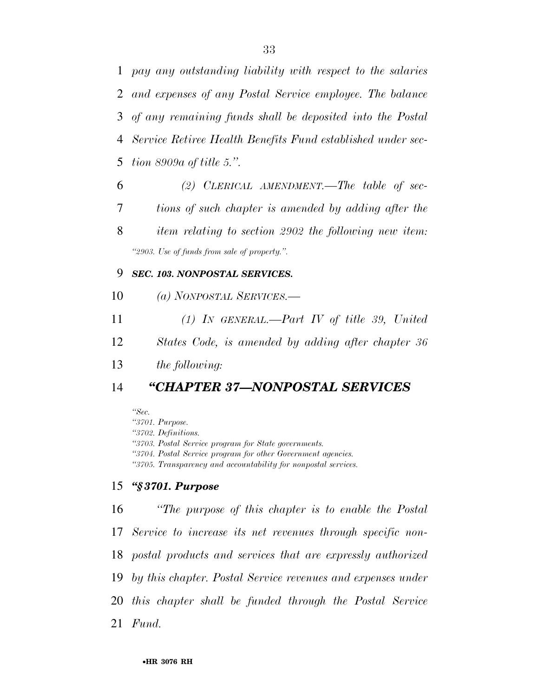*pay any outstanding liability with respect to the salaries and expenses of any Postal Service employee. The balance of any remaining funds shall be deposited into the Postal Service Retiree Health Benefits Fund established under sec-tion 8909a of title 5.''.* 

 *(2) CLERICAL AMENDMENT.—The table of sec- tions of such chapter is amended by adding after the item relating to section 2902 the following new item: ''2903. Use of funds from sale of property.''.* 

#### *SEC. 103. NONPOSTAL SERVICES.*

- *(a) NONPOSTAL SERVICES.—*
- *(1) IN GENERAL.—Part IV of title 39, United*
- *States Code, is amended by adding after chapter 36*

*the following:* 

#### *''CHAPTER 37—NONPOSTAL SERVICES*

*''Sec.* 

*''3701. Purpose. ''3702. Definitions. ''3703. Postal Service program for State governments. ''3704. Postal Service program for other Government agencies. ''3705. Transparency and accountability for nonpostal services.* 

#### *''§ 3701. Purpose*

 *''The purpose of this chapter is to enable the Postal Service to increase its net revenues through specific non- postal products and services that are expressly authorized by this chapter. Postal Service revenues and expenses under this chapter shall be funded through the Postal Service Fund.*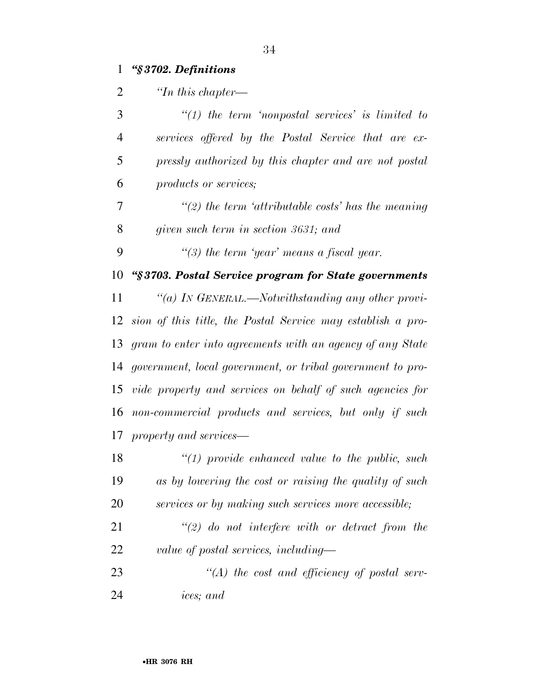### *''§ 3702. Definitions*

| $\overline{2}$ | $\lq$ <sup>th</sup> this chapter—                           |
|----------------|-------------------------------------------------------------|
| 3              | $\lq(1)$ the term 'nonpostal services' is limited to        |
| 4              | services offered by the Postal Service that are ex-         |
| 5              | pressly authorized by this chapter and are not postal       |
| 6              | products or services;                                       |
| 7              | $\lq(2)$ the term 'attributable costs' has the meaning      |
| 8              | given such term in section 3631; and                        |
| 9              | "(3) the term 'year' means a fiscal year.                   |
| 10             | "§3703. Postal Service program for State governments        |
| 11             | "(a) In GENERAL.—Notwithstanding any other provi-           |
| 12             | sion of this title, the Postal Service may establish a pro- |
| 13             | gram to enter into agreements with an agency of any State   |
| 14             | government, local government, or tribal government to pro-  |
| 15             | vide property and services on behalf of such agencies for   |
| 16             | non-commercial products and services, but only if such      |
| 17             | property and services—                                      |
| 18             | $\lq(1)$ provide enhanced value to the public, such         |
| 19             | as by lowering the cost or raising the quality of such      |
| 20             | services or by making such services more accessible;        |
| 21             | $\lq(2)$ do not interfere with or detract from the          |
| 22             | value of postal services, including—                        |
| 23             | $\lq (A)$ the cost and efficiency of postal serv-           |

*ices; and*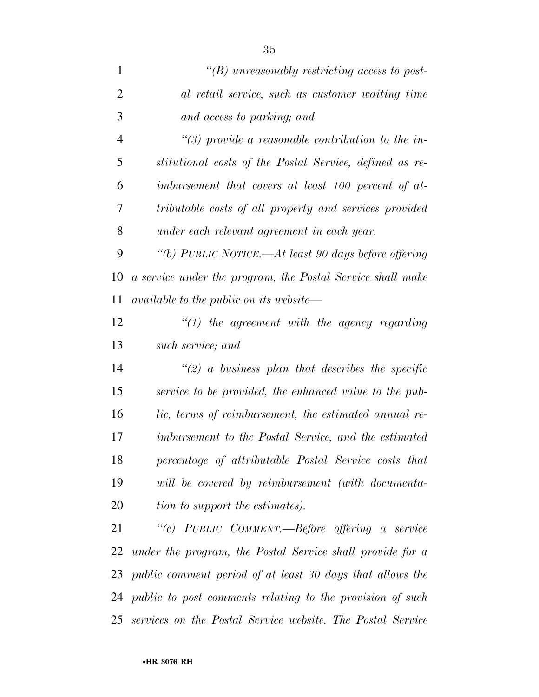| $\mathbf{1}$   | "(B) unreasonably restricting access to post-                |
|----------------|--------------------------------------------------------------|
| $\overline{2}$ | al retail service, such as customer waiting time             |
| 3              | and access to parking; and                                   |
| $\overline{4}$ | $\lq(3)$ provide a reasonable contribution to the in-        |
| 5              | stitutional costs of the Postal Service, defined as re-      |
| 6              | imbursement that covers at least 100 percent of at-          |
| 7              | tributable costs of all property and services provided       |
| 8              | under each relevant agreement in each year.                  |
| 9              | "(b) PUBLIC NOTICE.—At least 90 days before offering         |
| 10             | a service under the program, the Postal Service shall make   |
| 11             | <i>available to the public on its website—</i>               |
| 12             | $\lq(1)$ the agreement with the agency regarding             |
| 13             | such service; and                                            |
| 14             | $\lq(2)$ a business plan that describes the specific         |
| 15             | service to be provided, the enhanced value to the pub-       |
| 16             | lic, terms of reimbursement, the estimated annual re-        |
| 17             | imbursement to the Postal Service, and the estimated         |
| 18             | percentage of attributable Postal Service costs that         |
| 19             | will be covered by reimbursement (with documenta-            |
| 20             | tion to support the estimates).                              |
| 21             | "(c) PUBLIC COMMENT.—Before offering a service               |
| 22             | under the program, the Postal Service shall provide for a    |
| 23             | public comment period of at least 30 days that allows the    |
|                | 24 public to post comments relating to the provision of such |

*services on the Postal Service website. The Postal Service*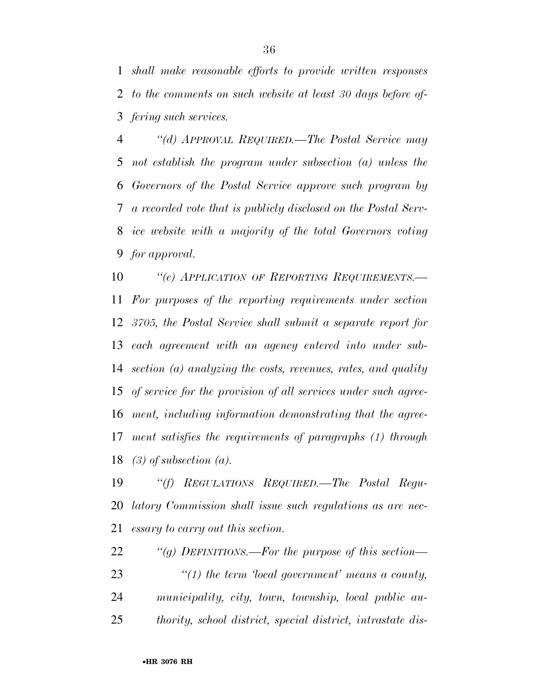*shall make reasonable efforts to provide written responses to the comments on such website at least 30 days before of-fering such services.* 

 *''(d) APPROVAL REQUIRED.—The Postal Service may not establish the program under subsection (a) unless the Governors of the Postal Service approve such program by a recorded vote that is publicly disclosed on the Postal Serv- ice website with a majority of the total Governors voting for approval.* 

 *''(e) APPLICATION OF REPORTING REQUIREMENTS.— For purposes of the reporting requirements under section 3705, the Postal Service shall submit a separate report for each agreement with an agency entered into under sub- section (a) analyzing the costs, revenues, rates, and quality of service for the provision of all services under such agree- ment, including information demonstrating that the agree- ment satisfies the requirements of paragraphs (1) through (3) of subsection (a).* 

 *''(f) REGULATIONS REQUIRED.—The Postal Regu- latory Commission shall issue such regulations as are nec-essary to carry out this section.* 

*''(g) DEFINITIONS.—For the purpose of this section—* 

 *''(1) the term 'local government' means a county, municipality, city, town, township, local public au-thority, school district, special district, intrastate dis-*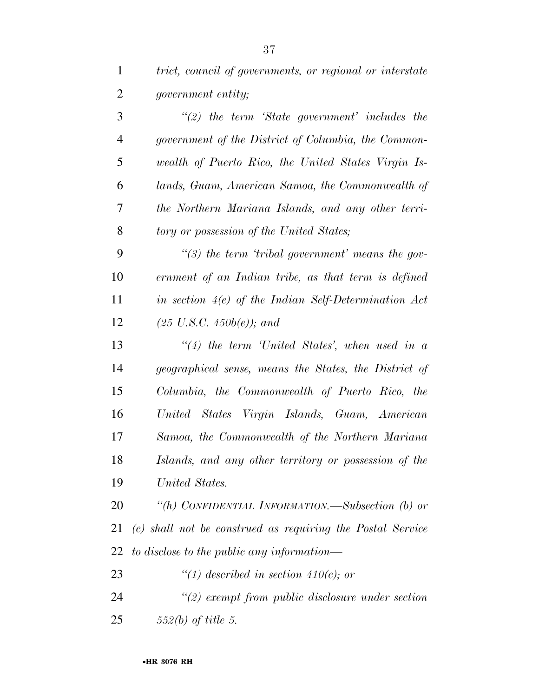| $\mathbf{1}$   | trict, council of governments, or regional or interstate   |
|----------------|------------------------------------------------------------|
| $\overline{2}$ | <i>government entity;</i>                                  |
| 3              | $\lq(2)$ the term 'State government' includes the          |
| $\overline{4}$ | government of the District of Columbia, the Common-        |
| 5              | wealth of Puerto Rico, the United States Virgin Is-        |
| 6              | lands, Guam, American Samoa, the Commonwealth of           |
| 7              | the Northern Mariana Islands, and any other terri-         |
| 8              | tory or possession of the United States;                   |
| 9              | $\lq(3)$ the term 'tribal government' means the gov-       |
| 10             | ernment of an Indian tribe, as that term is defined        |
| 11             | in section $4(e)$ of the Indian Self-Determination Act     |
| 12             | $(25 \text{ U.S.C. } 450b(e))$ ; and                       |
| 13             | $``(4)$ the term 'United States', when used in a           |
| 14             | geographical sense, means the States, the District of      |
| 15             | Columbia, the Commonwealth of Puerto Rico, the             |
| 16             | United States Virgin Islands, Guam, American               |
| 17             | Samoa, the Commonwealth of the Northern Mariana            |
| 18             | Islands, and any other territory or possession of the      |
| 19             | United States.                                             |
| 20             | "(h) CONFIDENTIAL INFORMATION.—Subsection (b) or           |
| 21             | (c) shall not be construed as requiring the Postal Service |
| 22             | to disclose to the public any information—                 |
| 23             | "(1) described in section 410(c); or                       |
| 24             | $\lq(2)$ exempt from public disclosure under section       |
| 25             | $552(b)$ of title 5.                                       |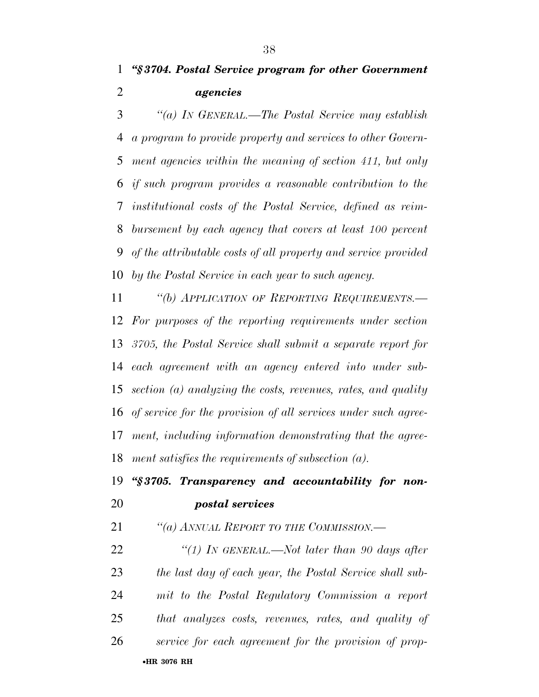*''§ 3704. Postal Service program for other Government agencies* 

 *''(a) IN GENERAL.—The Postal Service may establish a program to provide property and services to other Govern- ment agencies within the meaning of section 411, but only if such program provides a reasonable contribution to the institutional costs of the Postal Service, defined as reim- bursement by each agency that covers at least 100 percent of the attributable costs of all property and service provided by the Postal Service in each year to such agency.* 

 *''(b) APPLICATION OF REPORTING REQUIREMENTS.— For purposes of the reporting requirements under section 3705, the Postal Service shall submit a separate report for each agreement with an agency entered into under sub- section (a) analyzing the costs, revenues, rates, and quality of service for the provision of all services under such agree- ment, including information demonstrating that the agree-ment satisfies the requirements of subsection (a).* 

## *''§ 3705. Transparency and accountability for non-postal services*

*''(a) ANNUAL REPORT TO THE COMMISSION.—* 

•**HR 3076 RH** *''(1) IN GENERAL.—Not later than 90 days after the last day of each year, the Postal Service shall sub- mit to the Postal Regulatory Commission a report that analyzes costs, revenues, rates, and quality of service for each agreement for the provision of prop-*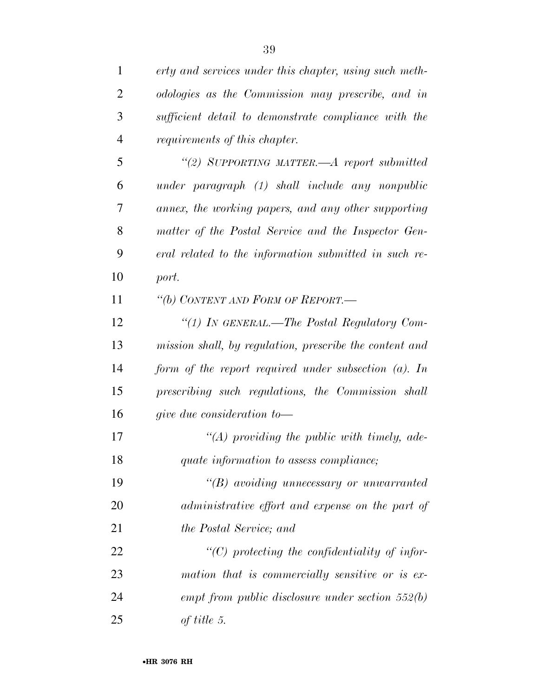| $\mathbf{1}$   | erty and services under this chapter, using such meth-  |
|----------------|---------------------------------------------------------|
| $\overline{2}$ | odologies as the Commission may prescribe, and in       |
| 3              | sufficient detail to demonstrate compliance with the    |
| $\overline{4}$ | <i>requirements of this chapter.</i>                    |
| 5              | "(2) SUPPORTING MATTER.—A report submitted              |
| 6              | under paragraph (1) shall include any nonpublic         |
| 7              | annex, the working papers, and any other supporting     |
| 8              | matter of the Postal Service and the Inspector Gen-     |
| 9              | eral related to the information submitted in such re-   |
| 10             | port.                                                   |
| 11             | "(b) CONTENT AND FORM OF REPORT.-                       |
| 12             | "(1) In GENERAL.—The Postal Regulatory Com-             |
| 13             | mission shall, by regulation, prescribe the content and |
| 14             | form of the report required under subsection $(a)$ . In |
| 15             | prescribing such regulations, the Commission shall      |
| 16             | give due consideration to $-$                           |
| 17             | $\lq (A)$ providing the public with timely, ade-        |
| 18             | quate information to assess compliance;                 |
| 19             | $\lq\lq B$ avoiding unnecessary or unwarranted          |
| 20             | administrative effort and expense on the part of        |
| 21             | the Postal Service; and                                 |
| 22             | $\lq\lq C$ protecting the confidentiality of infor-     |
| 23             | mation that is commercially sensitive or is ex-         |
| 24             | empt from public disclosure under section $552(b)$      |
| 25             | of title 5.                                             |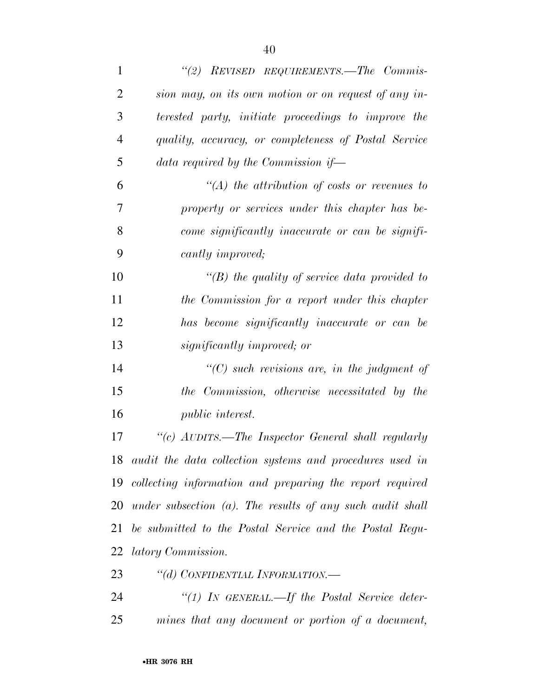| $\mathbf{1}$   | "(2) REVISED REQUIREMENTS.—The Commis-                       |
|----------------|--------------------------------------------------------------|
| $\overline{2}$ | sion may, on its own motion or on request of any in-         |
| 3              | terested party, initiate proceedings to improve the          |
| $\overline{4}$ | quality, accuracy, or completeness of Postal Service         |
| 5              | data required by the Commission if-                          |
| 6              | $\lq (A)$ the attribution of costs or revenues to            |
| 7              | property or services under this chapter has be-              |
| 8              | come significantly inaccurate or can be signifi-             |
| 9              | cantly improved;                                             |
| 10             | $\lq (B)$ the quality of service data provided to            |
| 11             | the Commission for a report under this chapter               |
| 12             | has become significantly inaccurate or can be                |
| 13             | significantly improved; or                                   |
| 14             | $"$ (C) such revisions are, in the judgment of               |
| 15             | the Commission, otherwise necessitated by the                |
| 16             | <i>public interest.</i>                                      |
| 17             | "(c) AUDITS.—The Inspector General shall regularly           |
| 18             | audit the data collection systems and procedures used in     |
| 19             | collecting information and preparing the report required     |
| 20             | under subsection $(a)$ . The results of any such audit shall |
| 21             | be submitted to the Postal Service and the Postal Regu-      |
| 22             | <i>latory Commission.</i>                                    |
| 23             | "(d) CONFIDENTIAL INFORMATION.—                              |
| 24             | "(1) IN GENERAL.—If the Postal Service deter-                |
| 25             | mines that any document or portion of a document,            |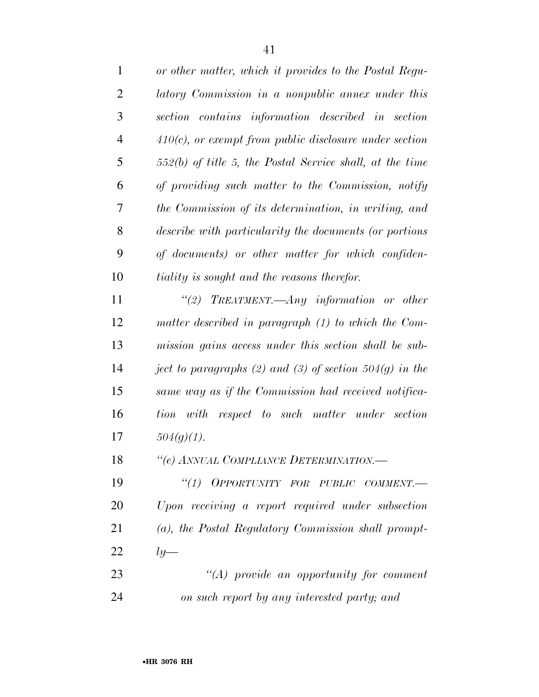| $\mathbf{1}$   | or other matter, which it provides to the Postal Regu-     |
|----------------|------------------------------------------------------------|
| $\overline{2}$ | latory Commission in a nonpublic annex under this          |
| 3              | section contains information described in section          |
| $\overline{4}$ | $410(c)$ , or exempt from public disclosure under section  |
| 5              | $552(b)$ of title 5, the Postal Service shall, at the time |
| 6              | of providing such matter to the Commission, notify         |
| 7              | the Commission of its determination, in writing, and       |
| 8              | describe with particularity the documents (or portions     |
| 9              | of documents) or other matter for which confiden-          |
| 10             | <i>tiality is sought and the reasons therefor.</i>         |
| 11             | "(2) TREATMENT.—Any information or other                   |
| 12             | matter described in paragraph (1) to which the Com-        |
| 13             | mission gains access under this section shall be sub-      |
| 14             | ject to paragraphs (2) and (3) of section $504(g)$ in the  |
| 15             | same way as if the Commission had received notifica-       |
| 16             | with<br>respect to such matter under section<br>tion       |
| 17             | $504(g)(1)$ .                                              |
| 18             | "(e) ANNUAL COMPLIANCE DETERMINATION.—                     |
| 19             | "(1) OPPORTUNITY FOR PUBLIC COMMENT.-                      |
| 20             | Upon receiving a report required under subsection          |
| 21             | (a), the Postal Regulatory Commission shall prompt-        |
| 22             | $ly-$                                                      |
| 23             | $\lq\lq (A)$ provide an opportunity for comment            |
|                |                                                            |

*on such report by any interested party; and*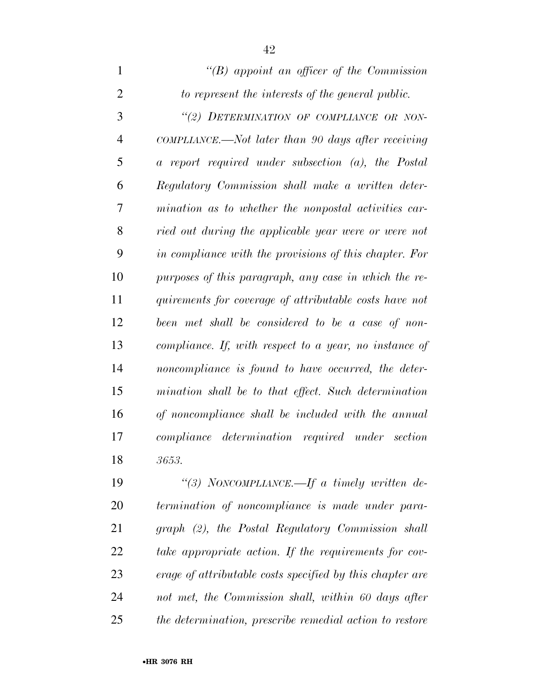| $\mathbf{1}$   | "(B) appoint an officer of the Commission               |
|----------------|---------------------------------------------------------|
| $\overline{2}$ | to represent the interests of the general public.       |
| 3              | "(2) DETERMINATION OF COMPLIANCE OR NON-                |
| $\overline{4}$ | COMPLIANCE.—Not later than 90 days after receiving      |
| 5              | a report required under subsection (a), the Postal      |
| 6              | Regulatory Commission shall make a written deter-       |
| 7              | mination as to whether the nonpostal activities car-    |
| 8              | ried out during the applicable year were or were not    |
| 9              | in compliance with the provisions of this chapter. For  |
| 10             | purposes of this paragraph, any case in which the re-   |
| 11             | quirements for coverage of attributable costs have not  |
| 12             | been met shall be considered to be a case of non-       |
| 13             | compliance. If, with respect to a year, no instance of  |
| 14             | noncompliance is found to have occurred, the deter-     |
| 15             | mination shall be to that effect. Such determination    |
| 16             | of noncompliance shall be included with the annual      |
| 17             | compliance determination required under section         |
| 18             | 3653.                                                   |
| $\sim$         | $T \theta = U^* - T$<br>$\cdots$<br>$(10)$ $\mathbf{1}$ |

 *''(3) NONCOMPLIANCE.—If a timely written de- termination of noncompliance is made under para- graph (2), the Postal Regulatory Commission shall take appropriate action. If the requirements for cov- erage of attributable costs specified by this chapter are not met, the Commission shall, within 60 days after the determination, prescribe remedial action to restore*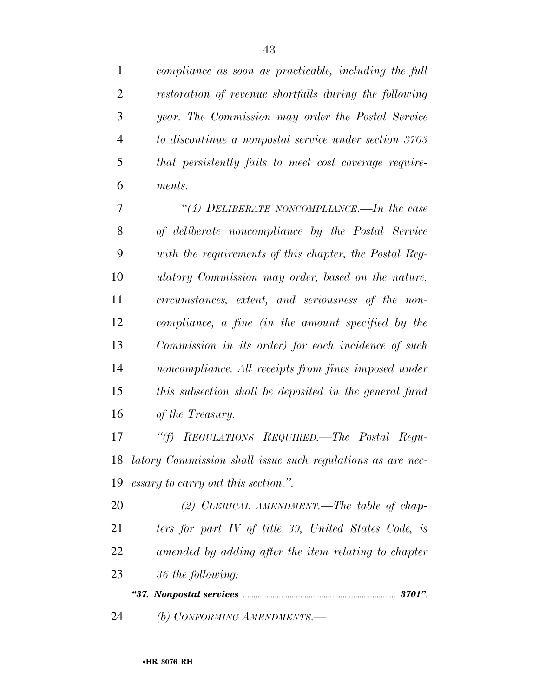*compliance as soon as practicable, including the full restoration of revenue shortfalls during the following year. The Commission may order the Postal Service to discontinue a nonpostal service under section 3703 that persistently fails to meet cost coverage require-ments.* 

 *''(4) DELIBERATE NONCOMPLIANCE.—In the case of deliberate noncompliance by the Postal Service with the requirements of this chapter, the Postal Reg- ulatory Commission may order, based on the nature, circumstances, extent, and seriousness of the non- compliance, a fine (in the amount specified by the Commission in its order) for each incidence of such noncompliance. All receipts from fines imposed under this subsection shall be deposited in the general fund of the Treasury.* 

 *''(f) REGULATIONS REQUIRED.—The Postal Regu- latory Commission shall issue such regulations as are nec-essary to carry out this section.''.* 

 *(2) CLERICAL AMENDMENT.—The table of chap- ters for part IV of title 39, United States Code, is amended by adding after the item relating to chapter 36 the following: ''37. Nonpostal services ........................................................................ 3701''.* 

*(b) CONFORMING AMENDMENTS.—*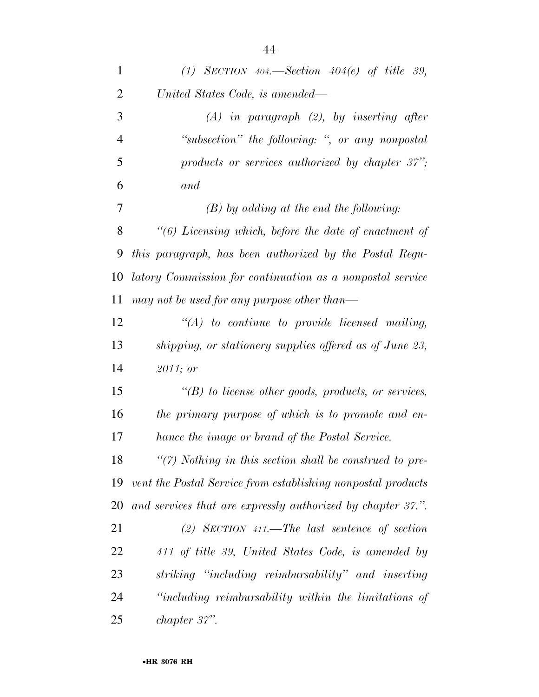| $\mathbf{1}$   | (1) SECTION $404$ —Section $404(e)$ of title 39,             |
|----------------|--------------------------------------------------------------|
| $\overline{2}$ | United States Code, is amended—                              |
| 3              | $(A)$ in paragraph $(2)$ , by inserting after                |
| $\overline{4}$ | "subsection" the following: ", or any nonpostal              |
| 5              | products or services authorized by chapter $37$ ";           |
| 6              | and                                                          |
| 7              | $(B)$ by adding at the end the following:                    |
| 8              | $"(6)$ Licensing which, before the date of enactment of      |
| 9              | this paragraph, has been authorized by the Postal Regu-      |
| 10             | latory Commission for continuation as a nonpostal service    |
| 11             | may not be used for any purpose other than—                  |
| 12             | $\lq (A)$ to continue to provide licensed mailing,           |
| 13             | shipping, or stationery supplies offered as of June 23,      |
| 14             | 2011; or                                                     |
| 15             | $\lq (B)$ to license other goods, products, or services,     |
| 16             | the primary purpose of which is to promote and en-           |
| 17             | hance the image or brand of the Postal Service.              |
| 18             | $\lq(7)$ Nothing in this section shall be construed to pre-  |
| 19             | vent the Postal Service from establishing nonpostal products |
| 20             | and services that are expressly authorized by chapter 37.".  |
| 21             | (2) SECTION 411.—The last sentence of section                |
| 22             | 411 of title 39, United States Code, is amended by           |
| 23             | striking "including reimbursability" and inserting           |
| 24             | "including reimbursability within the limitations of         |
| 25             | chapter 37".                                                 |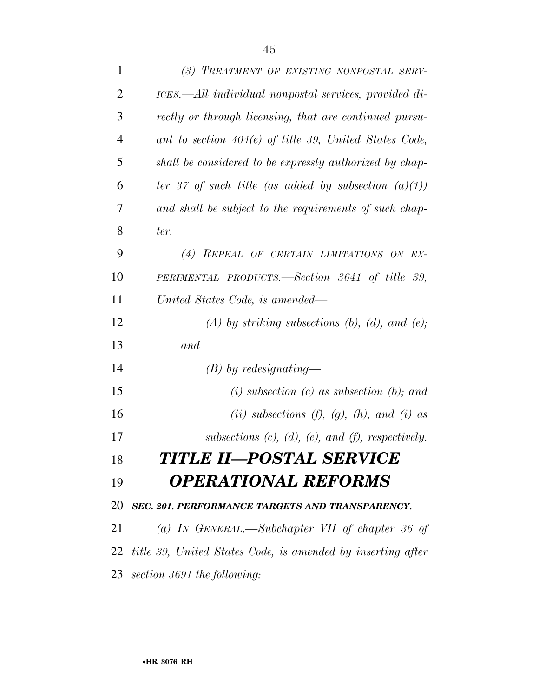| $\mathbf{1}$   | (3) TREATMENT OF EXISTING NONPOSTAL SERV-                      |
|----------------|----------------------------------------------------------------|
| $\overline{2}$ | ICES.—All individual nonpostal services, provided di-          |
| 3              | rectly or through licensing, that are continued pursu-         |
| $\overline{4}$ | ant to section $404(e)$ of title 39, United States Code,       |
| 5              | shall be considered to be expressly authorized by chap-        |
| 6              | ter 37 of such title (as added by subsection $(a)(1)$ )        |
| 7              | and shall be subject to the requirements of such chap-         |
| 8              | ter.                                                           |
| 9              | (4) REPEAL OF CERTAIN LIMITATIONS ON EX-                       |
| 10             | PERIMENTAL PRODUCTS.—Section 3641 of title 39,                 |
| 11             | United States Code, is amended—                                |
| 12             | $(A)$ by striking subsections $(b)$ , $(d)$ , and $(e)$ ;      |
| 13             | and                                                            |
| 14             | $(B)$ by redesignating—                                        |
| 15             | $(i)$ subsection $(c)$ as subsection $(b)$ ; and               |
| 16             | (ii) subsections (f), (g), (h), and (i) as                     |
| 17             | subsections $(c)$ , $(d)$ , $(e)$ , and $(f)$ , respectively.  |
| 18             | TITLE II—POSTAL SERVICE                                        |
| 19             | <b>OPERATIONAL REFORMS</b>                                     |
| 20             | SEC. 201. PERFORMANCE TARGETS AND TRANSPARENCY.                |
| 21             | (a) IN GENERAL.—Subchapter VII of chapter 36 of                |
|                | 22 title 39, United States Code, is amended by inserting after |
|                | 23 section 3691 the following:                                 |
|                |                                                                |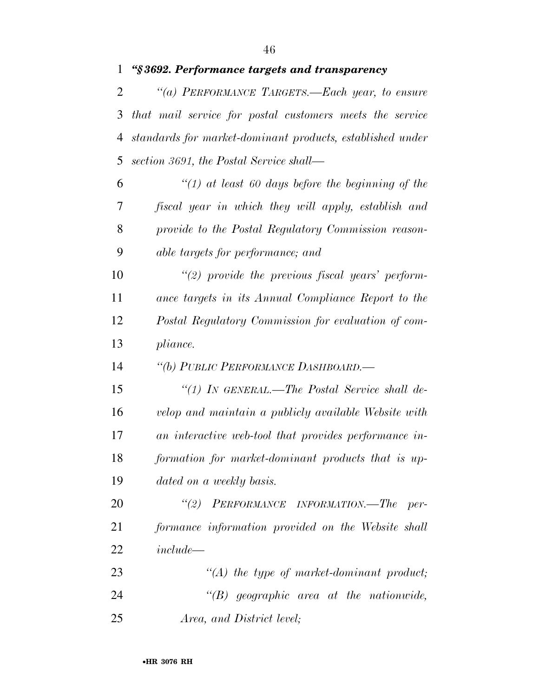*''§ 3692. Performance targets and transparency* 

 *''(a) PERFORMANCE TARGETS.—Each year, to ensure that mail service for postal customers meets the service standards for market-dominant products, established under section 3691, the Postal Service shall—* 

 *''(1) at least 60 days before the beginning of the fiscal year in which they will apply, establish and provide to the Postal Regulatory Commission reason-able targets for performance; and* 

 *''(2) provide the previous fiscal years' perform- ance targets in its Annual Compliance Report to the Postal Regulatory Commission for evaluation of com-pliance.* 

*''(b) PUBLIC PERFORMANCE DASHBOARD.—* 

 *''(1) IN GENERAL.—The Postal Service shall de- velop and maintain a publicly available Website with an interactive web-tool that provides performance in- formation for market-dominant products that is up-dated on a weekly basis.* 

 *''(2) PERFORMANCE INFORMATION.—The per- formance information provided on the Website shall include—* 

 *''(A) the type of market-dominant product; ''(B) geographic area at the nationwide, Area, and District level;*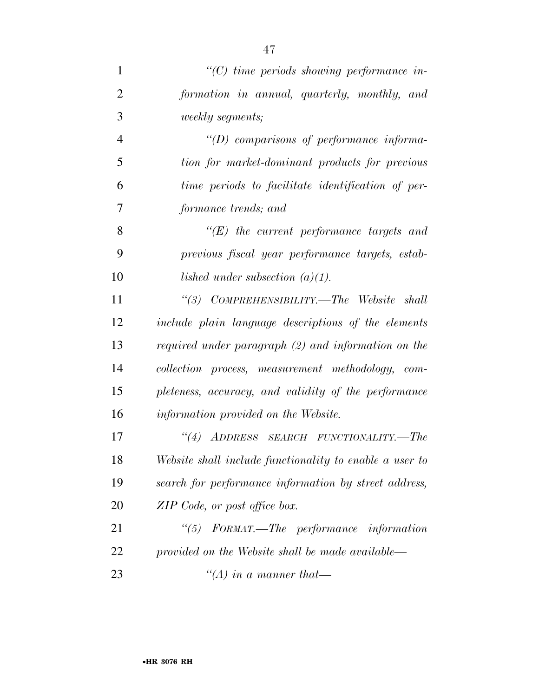| $\mathbf{1}$   | $"$ (C) time periods showing performance in-            |
|----------------|---------------------------------------------------------|
| $\overline{2}$ | formation in annual, quarterly, monthly, and            |
| 3              | <i>weekly segments;</i>                                 |
| $\overline{4}$ | $\lq\lq(D)$ comparisons of performance informa-         |
| 5              | tion for market-dominant products for previous          |
| 6              | time periods to facilitate identification of per-       |
| 7              | formance trends; and                                    |
| 8              | $\lq\lq(E)$ the current performance targets and         |
| 9              | previous fiscal year performance targets, estab-        |
| 10             | lished under subsection $(a)(1)$ .                      |
| 11             | "(3) COMPREHENSIBILITY.—The Website shall               |
| 12             | include plain language descriptions of the elements     |
| 13             | required under paragraph (2) and information on the     |
| 14             | collection process, measurement methodology, com-       |
| 15             | pleteness, accuracy, and validity of the performance    |
| 16             | information provided on the Website.                    |
| 17             | "(4) ADDRESS SEARCH FUNCTIONALITY.—The                  |
| 18             | Website shall include functionality to enable a user to |
| 19             | search for performance information by street address,   |
| 20             | ZIP Code, or post office box.                           |
| 21             | "(5) FORMAT.—The performance information                |
| 22             | provided on the Website shall be made available—        |
| 23             | "(A) in a manner that-                                  |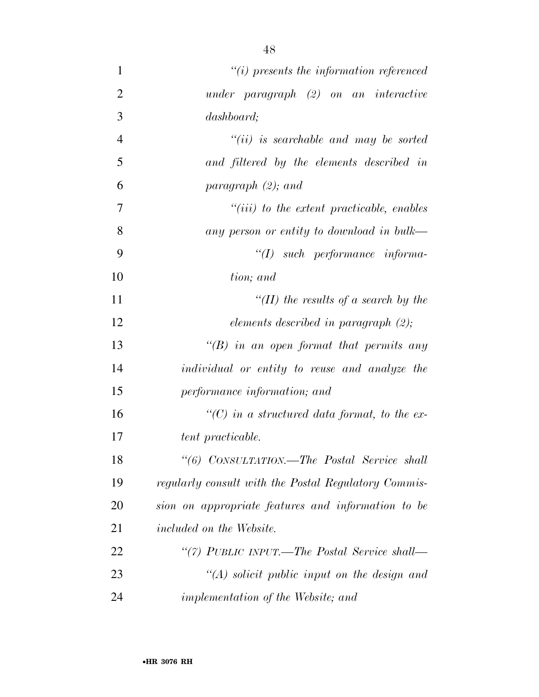| $\mathbf{1}$   | $"(i)$ presents the information referenced           |
|----------------|------------------------------------------------------|
| $\overline{2}$ | $under\ paragraph\ (2) \ on\ an\ interactive$        |
| 3              | dashboard;                                           |
| $\overline{4}$ | $``(ii)$ is searchable and may be sorted             |
| 5              | and filtered by the elements described in            |
| 6              | paragraph $(2)$ ; and                                |
| 7              | $``(iii)$ to the extent practicable, enables         |
| 8              | any person or entity to download in bulk—            |
| 9              | $\lq (I)$ such performance informa-                  |
| 10             | tion; and                                            |
| 11             | "(II) the results of a search by the                 |
| 12             | elements described in paragraph $(2)$ ;              |
| 13             | "(B) in an open format that permits any              |
| 14             | individual or entity to reuse and analyze the        |
| 15             | performance information; and                         |
| 16             | "(C) in a structured data format, to the ex-         |
| 17             | tent practicable.                                    |
| 18             | "(6) CONSULTATION.—The Postal Service shall          |
| 19             | regularly consult with the Postal Regulatory Commis- |
| 20             | sion on appropriate features and information to be   |
| 21             | <i>included on the Website.</i>                      |
| 22             | "(7) PUBLIC INPUT.—The Postal Service shall—         |
| 23             | $\lq (A)$ solicit public input on the design and     |
| 24             | <i>implementation of the Website; and</i>            |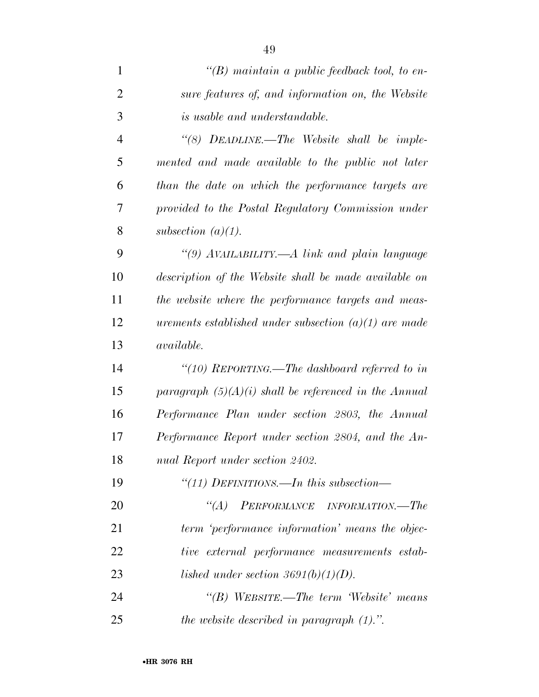| $\mathbf{1}$   | $\lq (B)$ maintain a public feedback tool, to en-       |
|----------------|---------------------------------------------------------|
| $\overline{2}$ | sure features of, and information on, the Website       |
| 3              | is usable and understandable.                           |
| $\overline{4}$ | "(8) DEADLINE.—The Website shall be imple-              |
| 5              | mented and made available to the public not later       |
| 6              | than the date on which the performance targets are      |
| 7              | provided to the Postal Regulatory Commission under      |
| 8              | subsection $(a)(1)$ .                                   |
| 9              | "(9) AVAILABILITY.—A link and plain language            |
| 10             | description of the Website shall be made available on   |
| 11             | the website where the performance targets and meas-     |
| 12             | urements established under subsection $(a)(1)$ are made |
| 13             | <i>available.</i>                                       |
| 14             | "(10) REPORTING.—The dashboard referred to in           |
| 15             | paragraph $(5)(A)(i)$ shall be referenced in the Annual |
| 16             | Performance Plan under section 2803, the Annual         |
| 17             | Performance Report under section 2804, and the An-      |
| 18             | nual Report under section 2402.                         |
| 19             | "(11) DEFINITIONS.—In this subsection—                  |
| 20             | PERFORMANCE INFORMATION.—The<br>$\lq (A)$               |
| 21             | term 'performance information' means the objec-         |
| 22             | tive external performance measurements estab-           |
| 23             | lished under section 3691(b)(1)(D).                     |
| 24             | "(B) WEBSITE.—The term Website' means                   |
| 25             | the website described in paragraph $(1)$ .".            |

•**HR 3076 RH**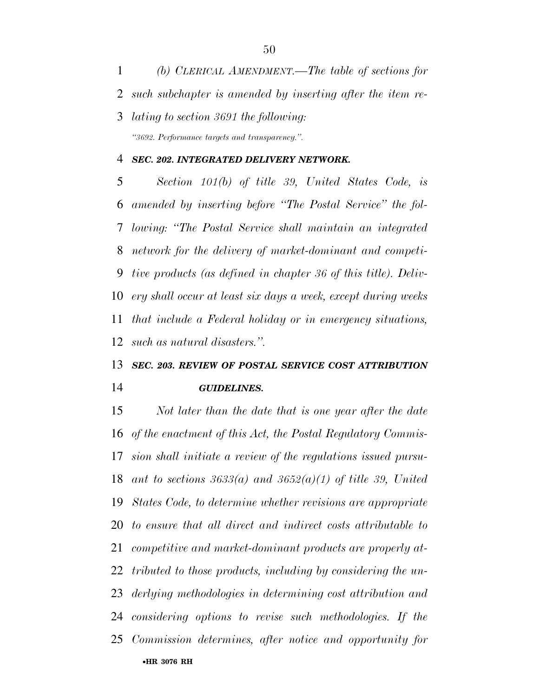*(b) CLERICAL AMENDMENT.—The table of sections for such subchapter is amended by inserting after the item re- lating to section 3691 the following: ''3692. Performance targets and transparency.''.* 

#### *SEC. 202. INTEGRATED DELIVERY NETWORK.*

 *Section 101(b) of title 39, United States Code, is amended by inserting before ''The Postal Service'' the fol- lowing: ''The Postal Service shall maintain an integrated network for the delivery of market-dominant and competi- tive products (as defined in chapter 36 of this title). Deliv- ery shall occur at least six days a week, except during weeks that include a Federal holiday or in emergency situations, such as natural disasters.''.* 

## *SEC. 203. REVIEW OF POSTAL SERVICE COST ATTRIBUTION GUIDELINES.*

•**HR 3076 RH** *Not later than the date that is one year after the date of the enactment of this Act, the Postal Regulatory Commis- sion shall initiate a review of the regulations issued pursu- ant to sections 3633(a) and 3652(a)(1) of title 39, United States Code, to determine whether revisions are appropriate to ensure that all direct and indirect costs attributable to competitive and market-dominant products are properly at- tributed to those products, including by considering the un- derlying methodologies in determining cost attribution and considering options to revise such methodologies. If the Commission determines, after notice and opportunity for*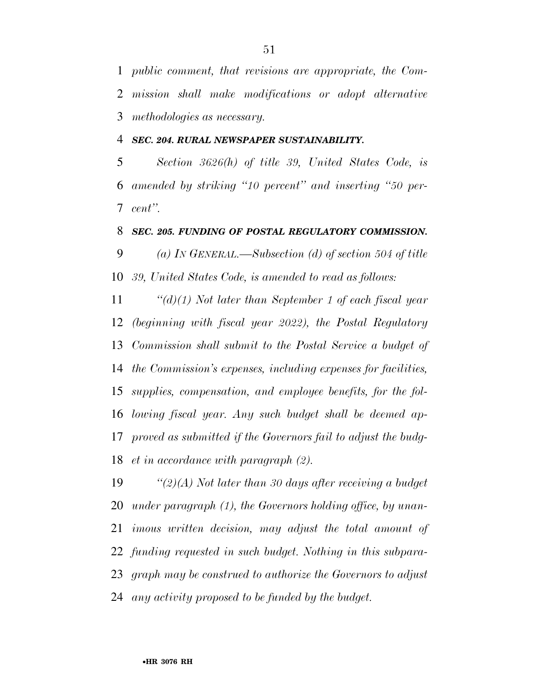*public comment, that revisions are appropriate, the Com- mission shall make modifications or adopt alternative methodologies as necessary.* 

*SEC. 204. RURAL NEWSPAPER SUSTAINABILITY.* 

 *Section 3626(h) of title 39, United States Code, is amended by striking ''10 percent'' and inserting ''50 per-cent''.* 

#### *SEC. 205. FUNDING OF POSTAL REGULATORY COMMISSION.*

 *(a) IN GENERAL.—Subsection (d) of section 504 of title 39, United States Code, is amended to read as follows:* 

 *''(d)(1) Not later than September 1 of each fiscal year (beginning with fiscal year 2022), the Postal Regulatory Commission shall submit to the Postal Service a budget of the Commission's expenses, including expenses for facilities, supplies, compensation, and employee benefits, for the fol- lowing fiscal year. Any such budget shall be deemed ap- proved as submitted if the Governors fail to adjust the budg-et in accordance with paragraph (2).* 

 *''(2)(A) Not later than 30 days after receiving a budget under paragraph (1), the Governors holding office, by unan- imous written decision, may adjust the total amount of funding requested in such budget. Nothing in this subpara- graph may be construed to authorize the Governors to adjust any activity proposed to be funded by the budget.*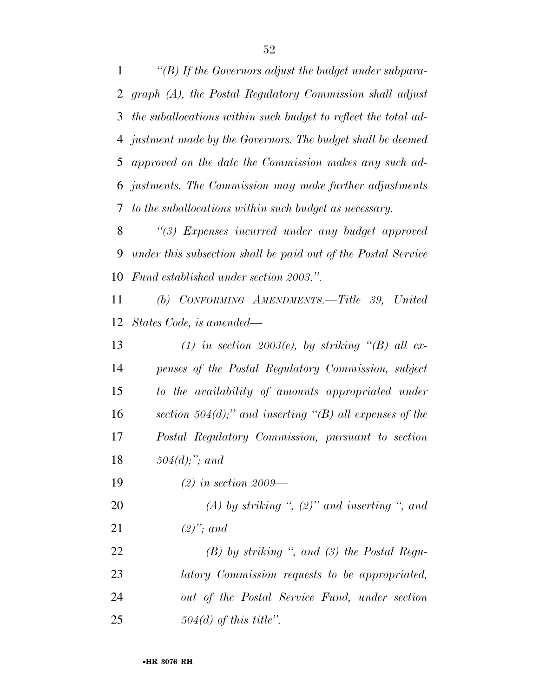*''(B) If the Governors adjust the budget under subpara- graph (A), the Postal Regulatory Commission shall adjust the suballocations within such budget to reflect the total ad- justment made by the Governors. The budget shall be deemed approved on the date the Commission makes any such ad- justments. The Commission may make further adjustments to the suballocations within such budget as necessary.* 

 *''(3) Expenses incurred under any budget approved under this subsection shall be paid out of the Postal Service Fund established under section 2003.''.* 

 *(b) CONFORMING AMENDMENTS.—Title 39, United States Code, is amended—* 

 *(1) in section 2003(e), by striking ''(B) all ex- penses of the Postal Regulatory Commission, subject to the availability of amounts appropriated under section 504(d);'' and inserting ''(B) all expenses of the Postal Regulatory Commission, pursuant to section 504(d);''; and* 

*(2) in section 2009—* 

 *(A) by striking '', (2)'' and inserting '', and (2)''; and* 

 *(B) by striking '', and (3) the Postal Regu- latory Commission requests to be appropriated, out of the Postal Service Fund, under section 504(d) of this title''.*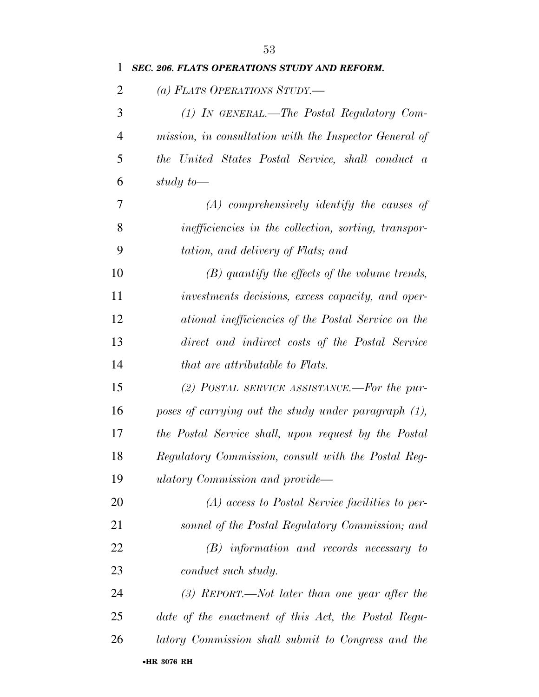| 1              | SEC. 206. FLATS OPERATIONS STUDY AND REFORM.           |
|----------------|--------------------------------------------------------|
| $\overline{2}$ | (a) FLATS OPERATIONS STUDY.-                           |
| 3              | (1) IN GENERAL.—The Postal Regulatory Com-             |
| $\overline{4}$ | mission, in consultation with the Inspector General of |
| 5              | the United States Postal Service, shall conduct a      |
| 6              | study to-                                              |
| 7              | $(A)$ comprehensively identify the causes of           |
| 8              | inefficiencies in the collection, sorting, transpor-   |
| 9              | tation, and delivery of Flats; and                     |
| 10             | $(B)$ quantify the effects of the volume trends,       |
| 11             | investments decisions, excess capacity, and oper-      |
| 12             | ational inefficiencies of the Postal Service on the    |
| 13             | direct and indirect costs of the Postal Service        |
| 14             | that are attributable to Flats.                        |
| 15             | (2) POSTAL SERVICE ASSISTANCE.—For the pur-            |
| 16             | poses of carrying out the study under paragraph (1),   |
| 17             | the Postal Service shall, upon request by the Postal   |
| 18             | Regulatory Commission, consult with the Postal Reg-    |
| 19             | ulatory Commission and provide—                        |
| 20             | $(A)$ access to Postal Service facilities to per-      |
| 21             | sonnel of the Postal Regulatory Commission; and        |
| 22             | $(B)$ information and records necessary to             |
| 23             | conduct such study.                                    |
| 24             | $(3)$ REPORT.—Not later than one year after the        |
| 25             | date of the enactment of this Act, the Postal Regu-    |
| 26             | latory Commission shall submit to Congress and the     |
|                | •HR 3076 RH                                            |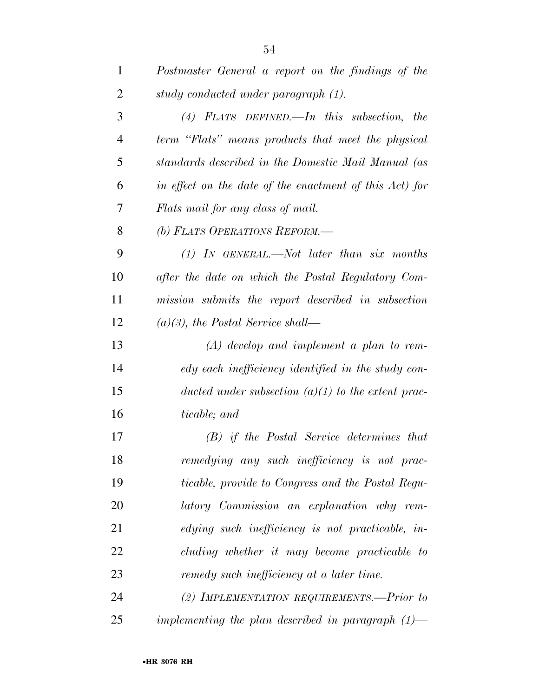| $\mathbf{1}$   | Postmaster General a report on the findings of the      |
|----------------|---------------------------------------------------------|
| $\overline{2}$ | study conducted under paragraph (1).                    |
| 3              | $(4)$ FLATS DEFINED. In this subsection,<br>the         |
| $\overline{4}$ | term "Flats" means products that meet the physical      |
| 5              | standards described in the Domestic Mail Manual (as     |
| 6              | in effect on the date of the enactment of this Act) for |
| 7              | Flats mail for any class of mail.                       |
| 8              | (b) FLATS OPERATIONS REFORM.-                           |
| 9              | $(1)$ IN GENERAL.—Not later than six months             |
| 10             | after the date on which the Postal Regulatory Com-      |
| 11             | mission submits the report described in subsection      |
| 12             | $(a)(3)$ , the Postal Service shall—                    |
| 13             | $(A)$ develop and implement a plan to rem-              |
| 14             | edy each inefficiency identified in the study con-      |
| 15             | ducted under subsection $(a)(1)$ to the extent prac-    |
| 16             | ticable; and                                            |
| 17             | (B) if the Postal Service determines that               |
| 18             | remedying any such inefficiency is not prac-            |
| 19             | ticable, provide to Congress and the Postal Regu-       |
| 20             | latory Commission an explanation why rem-               |
| 21             | edying such inefficiency is not practicable, in-        |
| 22             | cluding whether it may become practicable to            |
| 23             | remedy such inefficiency at a later time.               |
| 24             | (2) IMPLEMENTATION REQUIREMENTS.-Prior to               |
| 25             | implementing the plan described in paragraph $(1)$ —    |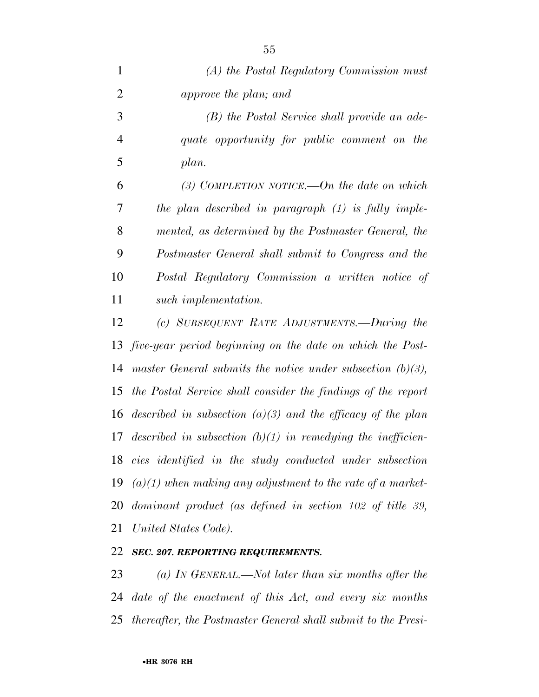| $\mathbf{1}$   | (A) the Postal Regulatory Commission must                           |
|----------------|---------------------------------------------------------------------|
| $\overline{2}$ | approve the plan; and                                               |
| 3              | (B) the Postal Service shall provide an ade-                        |
| $\overline{4}$ | quate opportunity for public comment on the                         |
| 5              | plan.                                                               |
| 6              | (3) COMPLETION NOTICE.—On the date on which                         |
| 7              | the plan described in paragraph $(1)$ is fully imple-               |
| 8              | mented, as determined by the Postmaster General, the                |
| 9              | Postmaster General shall submit to Congress and the                 |
| 10             | Postal Regulatory Commission a written notice of                    |
| 11             | such implementation.                                                |
| 12             | (c) SUBSEQUENT RATE ADJUSTMENTS.—During the                         |
| 13             | five-year period beginning on the date on which the Post-           |
| 14             | master General submits the notice under subsection $(b)(3)$ ,       |
| 15             | the Postal Service shall consider the findings of the report        |
| 16             | described in subsection $(a)(3)$ and the efficacy of the plan       |
| 17             | described in subsection $(b)(1)$ in remedying the inefficien-       |
|                | 18 cies identified in the study conducted under subsection          |
| 19             | $(a)(1)$ when making any adjustment to the rate of a market-        |
| 20             | $dominant\ product\ (as\ defined\ in\ section\ 102\ of\ title\ 39,$ |
| 21             | United States Code).                                                |
|                |                                                                     |

#### *SEC. 207. REPORTING REQUIREMENTS.*

 *(a) IN GENERAL.—Not later than six months after the date of the enactment of this Act, and every six months thereafter, the Postmaster General shall submit to the Presi-*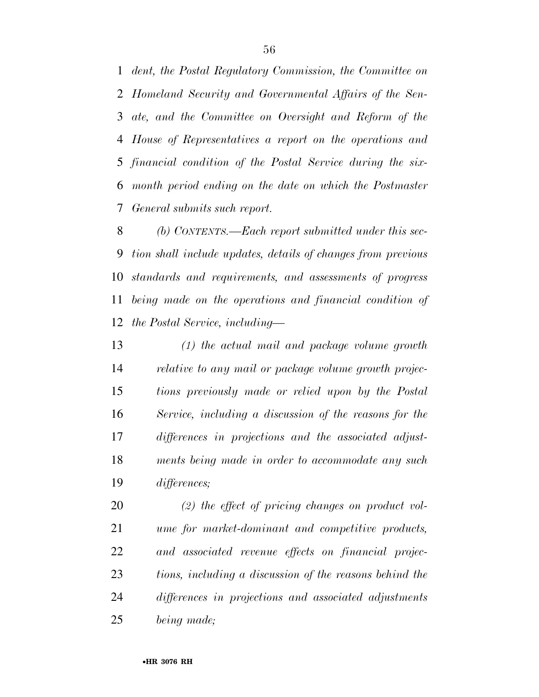*dent, the Postal Regulatory Commission, the Committee on Homeland Security and Governmental Affairs of the Sen- ate, and the Committee on Oversight and Reform of the House of Representatives a report on the operations and financial condition of the Postal Service during the six- month period ending on the date on which the Postmaster General submits such report.* 

 *(b) CONTENTS.—Each report submitted under this sec- tion shall include updates, details of changes from previous standards and requirements, and assessments of progress being made on the operations and financial condition of the Postal Service, including—* 

 *(1) the actual mail and package volume growth relative to any mail or package volume growth projec- tions previously made or relied upon by the Postal Service, including a discussion of the reasons for the differences in projections and the associated adjust- ments being made in order to accommodate any such differences;* 

 *(2) the effect of pricing changes on product vol- ume for market-dominant and competitive products, and associated revenue effects on financial projec- tions, including a discussion of the reasons behind the differences in projections and associated adjustments being made;*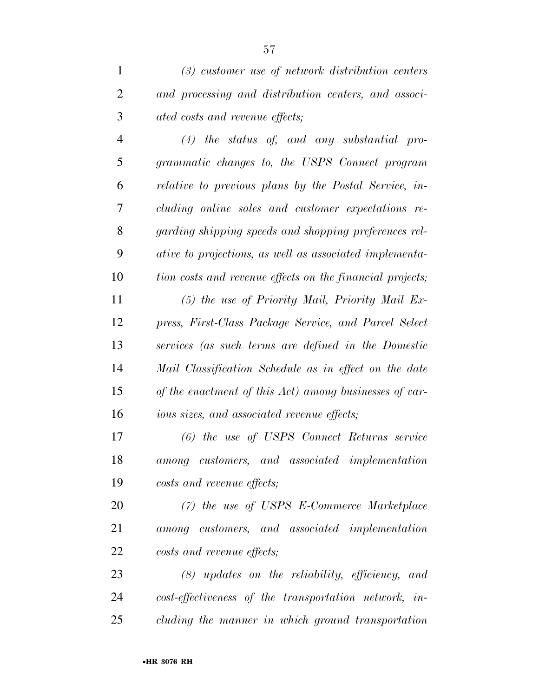*(4) the status of, and any substantial pro- grammatic changes to, the USPS Connect program relative to previous plans by the Postal Service, in- cluding online sales and customer expectations re- garding shipping speeds and shopping preferences rel- ative to projections, as well as associated implementa- tion costs and revenue effects on the financial projects; (5) the use of Priority Mail, Priority Mail Ex- press, First-Class Package Service, and Parcel Select services (as such terms are defined in the Domestic Mail Classification Schedule as in effect on the date of the enactment of this Act) among businesses of var-ious sizes, and associated revenue effects;* 

 *(6) the use of USPS Connect Returns service among customers, and associated implementation costs and revenue effects;* 

 *(7) the use of USPS E-Commerce Marketplace among customers, and associated implementation costs and revenue effects;* 

 *(8) updates on the reliability, efficiency, and cost-effectiveness of the transportation network, in-cluding the manner in which ground transportation*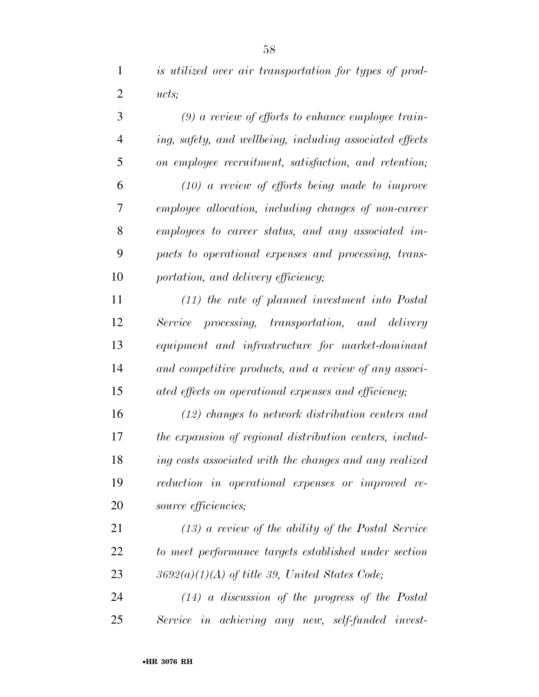*is utilized over air transportation for types of prod-ucts;* 

 *(9) a review of efforts to enhance employee train- ing, safety, and wellbeing, including associated effects on employee recruitment, satisfaction, and retention; (10) a review of efforts being made to improve employee allocation, including changes of non-career employees to career status, and any associated im- pacts to operational expenses and processing, trans-portation, and delivery efficiency;* 

 *(11) the rate of planned investment into Postal Service processing, transportation, and delivery equipment and infrastructure for market-dominant and competitive products, and a review of any associ-ated effects on operational expenses and efficiency;* 

 *(12) changes to network distribution centers and the expansion of regional distribution centers, includ- ing costs associated with the changes and any realized reduction in operational expenses or improved re-source efficiencies;* 

 *(13) a review of the ability of the Postal Service to meet performance targets established under section 3692(a)(1)(A) of title 39, United States Code;* 

 *(14) a discussion of the progress of the Postal Service in achieving any new, self-funded invest-*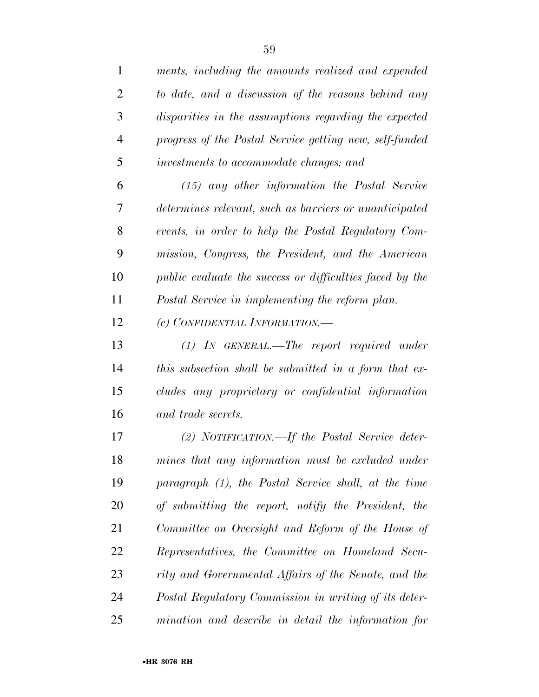| 1              | ments, including the amounts realized and expended       |
|----------------|----------------------------------------------------------|
| $\overline{2}$ | to date, and a discussion of the reasons behind any      |
| 3              | disparities in the assumptions regarding the expected    |
| $\overline{4}$ | progress of the Postal Service getting new, self-funded  |
| 5              | investments to accommodate changes; and                  |
| 6              | $(15)$ any other information the Postal Service          |
| 7              | determines relevant, such as barriers or unanticipated   |
| 8              | events, in order to help the Postal Regulatory Com-      |
| 9              | mission, Congress, the President, and the American       |
| 10             | public evaluate the success or difficulties faced by the |
| 11             | Postal Service in implementing the reform plan.          |
| 12             | (c) CONFIDENTIAL INFORMATION.-                           |
| 13             | $(1)$ IN GENERAL.—The report required under              |
| 14             | this subsection shall be submitted in a form that ex-    |
| 15             | cludes any proprietary or confidential information       |
| 16             | and trade secrets.                                       |
| 17             | (2) NOTIFICATION.—If the Postal Service deter-           |
| 18             | mines that any information must be excluded under        |
| 19             | paragraph (1), the Postal Service shall, at the time     |
| 20             | of submitting the report, notify the President,<br>the   |
| 21             | Committee on Oversight and Reform of the House of        |
| 22             | Representatives, the Committee on Homeland Secu-         |
| 23             | rity and Governmental Affairs of the Senate, and the     |
| 24             | Postal Regulatory Commission in writing of its deter-    |
| 25             | mination and describe in detail the information for      |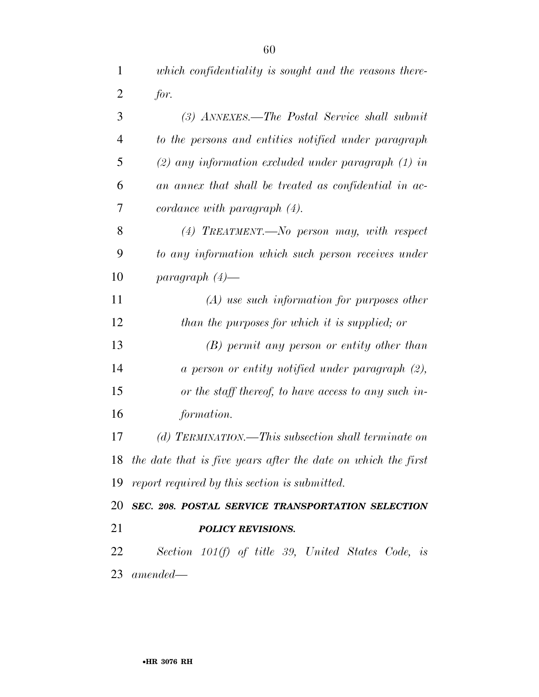| $\mathbf{1}$   | which confidentiality is sought and the reasons there-           |
|----------------|------------------------------------------------------------------|
| $\overline{2}$ | for.                                                             |
| 3              | (3) ANNEXES.—The Postal Service shall submit                     |
| $\overline{4}$ | to the persons and entities notified under paragraph             |
| 5              | $(2)$ any information excluded under paragraph $(1)$ in          |
| 6              | an annex that shall be treated as confidential in ac-            |
| 7              | $cordance\ with\ paragraph\ (4).$                                |
| 8              | $(4)$ TREATMENT.—No person may, with respect                     |
| 9              | to any information which such person receives under              |
| 10             | $paramph (4)$ —                                                  |
| 11             | $(A)$ use such information for purposes other                    |
| 12             | than the purposes for which it is supplied; or                   |
| 13             | $(B)$ permit any person or entity other than                     |
| 14             | $a$ person or entity notified under paragraph $(2)$ ,            |
| 15             | or the staff thereof, to have access to any such in-             |
| 16             | formation.                                                       |
| 17             | (d) TERMINATION.—This subsection shall terminate on              |
|                | 18 the date that is five years after the date on which the first |
|                | 19 report required by this section is submitted.                 |
|                | 20 SEC. 208. POSTAL SERVICE TRANSPORTATION SELECTION             |
| 21             | <b>POLICY REVISIONS.</b>                                         |
| 22             | Section 101(f) of title 39, United States Code, is               |
|                | $23\ \ amended--$                                                |
|                |                                                                  |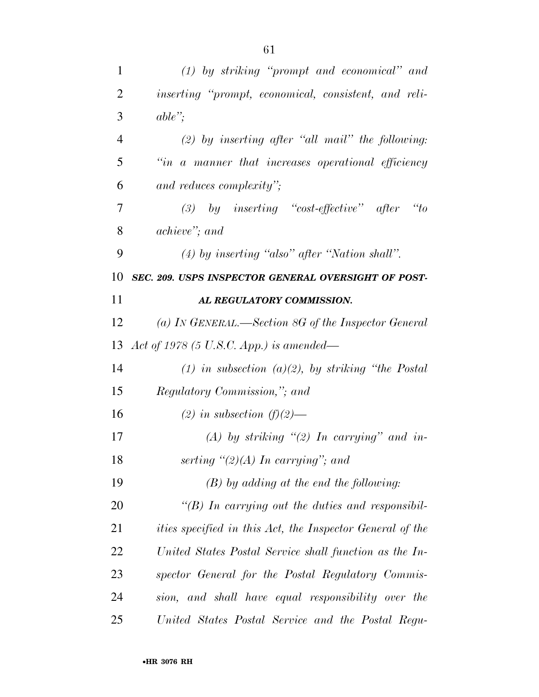| $\mathbf{1}$   | $(1)$ by striking "prompt and economical" and                    |
|----------------|------------------------------------------------------------------|
| $\overline{2}$ | inserting "prompt, economical, consistent, and reli-             |
| 3              | $able$ ";                                                        |
| $\overline{4}$ | $(2)$ by inserting after "all mail" the following:               |
| 5              | "in a manner that increases operational efficiency               |
| 6              | and reduces complexity";                                         |
| 7              | (3) by inserting "cost-effective" after<br>$\alpha_{to}$         |
| 8              | achieve"; and                                                    |
| 9              | $(4)$ by inserting "also" after "Nation shall".                  |
| 10             | SEC. 209. USPS INSPECTOR GENERAL OVERSIGHT OF POST-              |
| 11             | AL REGULATORY COMMISSION.                                        |
| 12             | (a) IN GENERAL.—Section 8G of the Inspector General              |
| 13             | Act of 1978 (5 U.S.C. App.) is amended—                          |
| 14             | (1) in subsection (a)(2), by striking "the Postal                |
| 15             | Regulatory Commission,"; and                                     |
| 16             | (2) in subsection $(f)(2)$ —                                     |
| 17             | (A) by striking $\lq(2)$ In carrying" and in-                    |
| 18             | serting " $(2)(A)$ In carrying"; and                             |
| 19             | $(B)$ by adding at the end the following:                        |
| 20             | " $(B)$ In carrying out the duties and responsibil-              |
| 21             | <i>ities specified in this Act, the Inspector General of the</i> |
| 22             | United States Postal Service shall function as the In-           |
| 23             | spector General for the Postal Regulatory Commis-                |
| 24             | sion, and shall have equal responsibility over the               |
| 25             | United States Postal Service and the Postal Regu-                |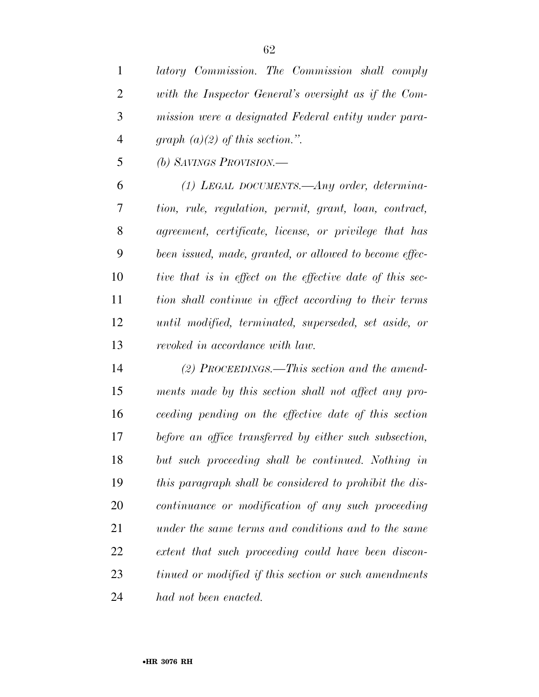*latory Commission. The Commission shall comply* 

| $\overline{2}$ | with the Inspector General's oversight as if the Com-     |
|----------------|-----------------------------------------------------------|
| 3              | mission were a designated Federal entity under para-      |
| $\overline{4}$ | graph $(a)(2)$ of this section.".                         |
| 5              | (b) SAVINGS PROVISION.—                                   |
| 6              | $(1)$ LEGAL DOCUMENTS.—Any order, determina-              |
| 7              | tion, rule, regulation, permit, grant, loan, contract,    |
| 8              | agreement, certificate, license, or privilege that has    |
| 9              | been issued, made, granted, or allowed to become effec-   |
| 10             | tive that is in effect on the effective date of this sec- |
| 11             | tion shall continue in effect according to their terms    |
| 12             | until modified, terminated, superseded, set aside, or     |
| 13             | revoked in accordance with law.                           |
| 14             | (2) PROCEEDINGS.—This section and the amend-              |
| 15             | ments made by this section shall not affect any pro-      |
| 16             | ceeding pending on the effective date of this section     |
| 17             | before an office transferred by either such subsection,   |
| 18             | but such proceeding shall be continued. Nothing in        |
| 19             | this paragraph shall be considered to prohibit the dis-   |
| <b>20</b>      | continuance or modification of any such proceeding        |
| 21             | under the same terms and conditions and to the same       |
| 22             | extent that such proceeding could have been discon-       |

*tinued or modified if this section or such amendments* 

*had not been enacted.*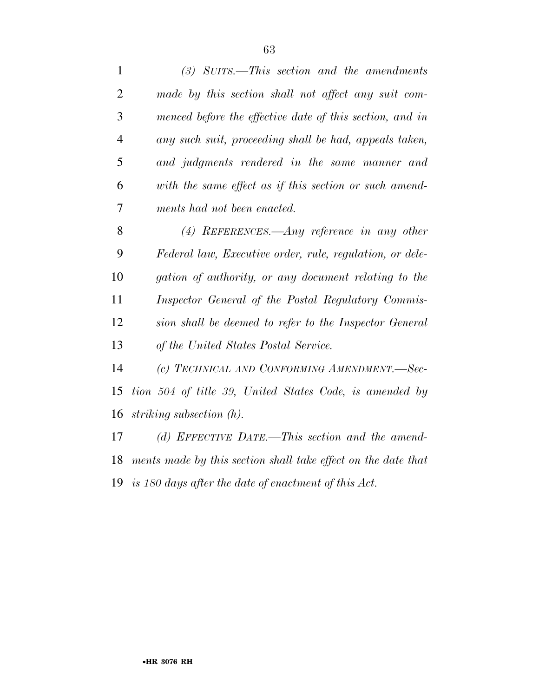| 1              | $(3)$ SUITS.—This section and the amendments                  |
|----------------|---------------------------------------------------------------|
| $\overline{2}$ | made by this section shall not affect any suit com-           |
| 3              | menced before the effective date of this section, and in      |
| $\overline{4}$ | any such suit, proceeding shall be had, appeals taken,        |
| 5              | and judgments rendered in the same manner and                 |
| 6              | with the same effect as if this section or such amend-        |
| 7              | ments had not been enacted.                                   |
| 8              | (4) REFERENCES.—Any reference in any other                    |
| 9              | Federal law, Executive order, rule, regulation, or dele-      |
| 10             | gation of authority, or any document relating to the          |
| 11             | Inspector General of the Postal Regulatory Commis-            |
| 12             | sion shall be deemed to refer to the Inspector General        |
| 13             | of the United States Postal Service.                          |
| 14             | (c) TECHNICAL AND CONFORMING AMENDMENT.-Sec-                  |
| 15             | tion 504 of title 39, United States Code, is amended by       |
| 16             | striking subsection $(h)$ .                                   |
| 17             | (d) EFFECTIVE DATE.—This section and the amend-               |
| 18             | ments made by this section shall take effect on the date that |

*is 180 days after the date of enactment of this Act.*